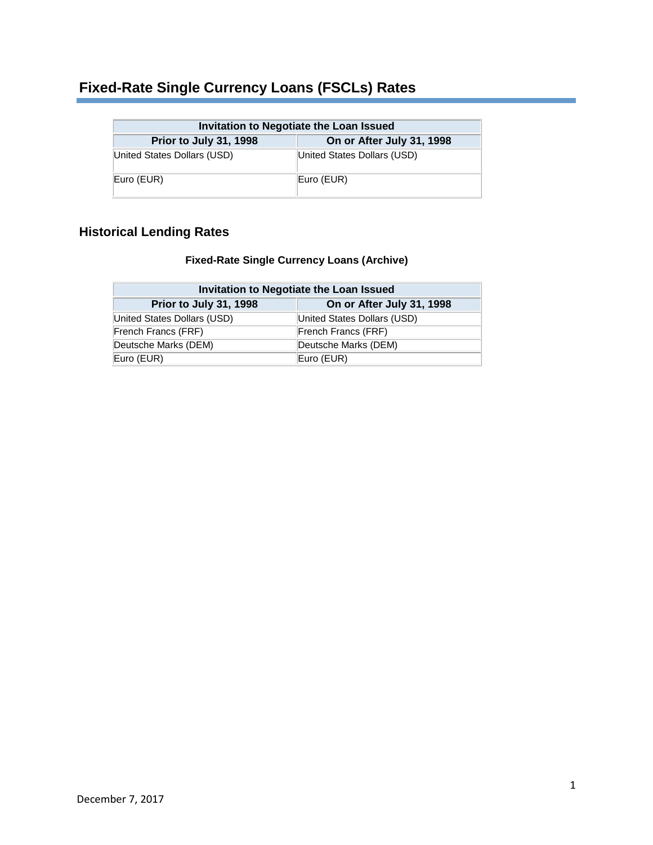### **Fixed-Rate Single Currency Loans (FSCLs) Rates**

| Invitation to Negotiate the Loan Issued             |                             |  |  |
|-----------------------------------------------------|-----------------------------|--|--|
| On or After July 31, 1998<br>Prior to July 31, 1998 |                             |  |  |
| United States Dollars (USD)                         | United States Dollars (USD) |  |  |
| Euro (EUR)                                          | Euro (EUR)                  |  |  |

### **Historical Lending Rates**

#### **Fixed-Rate Single Currency Loans (Archive)**

| Invitation to Negotiate the Loan Issued             |                             |  |  |
|-----------------------------------------------------|-----------------------------|--|--|
| On or After July 31, 1998<br>Prior to July 31, 1998 |                             |  |  |
| United States Dollars (USD)                         | United States Dollars (USD) |  |  |
| French Francs (FRF)                                 | French Francs (FRF)         |  |  |
| Deutsche Marks (DEM)                                | Deutsche Marks (DEM)        |  |  |
| Euro (EUR)                                          | Euro (EUR)                  |  |  |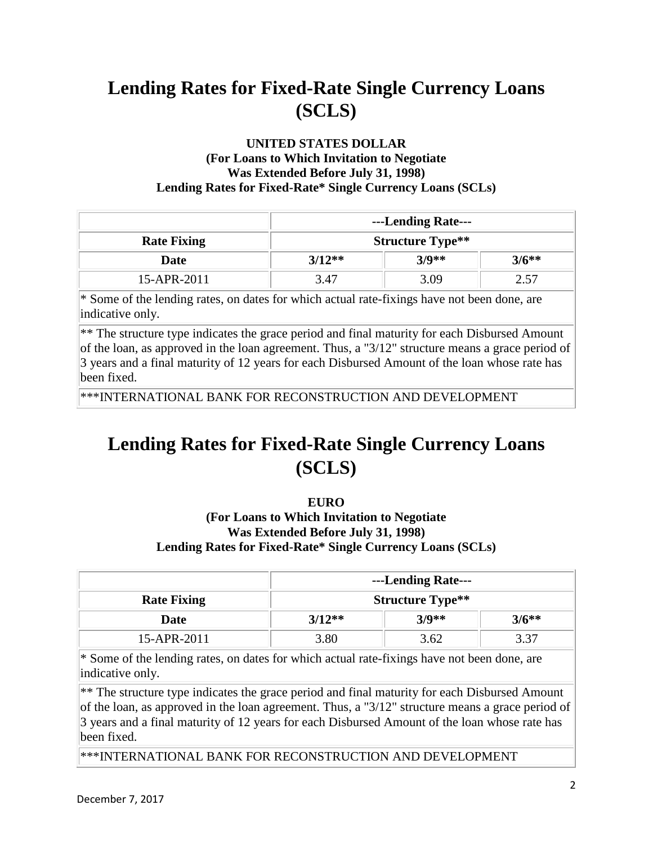#### **UNITED STATES DOLLAR (For Loans to Which Invitation to Negotiate Was Extended Before July 31, 1998) Lending Rates for Fixed-Rate\* Single Currency Loans (SCLs)**

|                    | ---Lending Rate---      |         |         |
|--------------------|-------------------------|---------|---------|
| <b>Rate Fixing</b> | <b>Structure Type**</b> |         |         |
| Date               | $3/12**$                | $3/9**$ | $3/6**$ |
| 15-APR-2011        | 3.47                    | 3 U S   |         |

\* Some of the lending rates, on dates for which actual rate-fixings have not been done, are indicative only.

\*\* The structure type indicates the grace period and final maturity for each Disbursed Amount of the loan, as approved in the loan agreement. Thus, a "3/12" structure means a grace period of 3 years and a final maturity of 12 years for each Disbursed Amount of the loan whose rate has been fixed.

\*\*\*INTERNATIONAL BANK FOR RECONSTRUCTION AND DEVELOPMENT

# **Lending Rates for Fixed-Rate Single Currency Loans (SCLS)**

#### **EURO**

#### **(For Loans to Which Invitation to Negotiate Was Extended Before July 31, 1998) Lending Rates for Fixed-Rate\* Single Currency Loans (SCLs)**

|                    | ---Lending Rate---      |         |         |
|--------------------|-------------------------|---------|---------|
| <b>Rate Fixing</b> | <b>Structure Type**</b> |         |         |
| Date               | $3/12**$                | $3/9**$ | $3/6**$ |
| 15-APR-2011        | 3.80                    | 3.62    | 3 37    |

\* Some of the lending rates, on dates for which actual rate-fixings have not been done, are indicative only.

\*\* The structure type indicates the grace period and final maturity for each Disbursed Amount of the loan, as approved in the loan agreement. Thus, a "3/12" structure means a grace period of 3 years and a final maturity of 12 years for each Disbursed Amount of the loan whose rate has been fixed.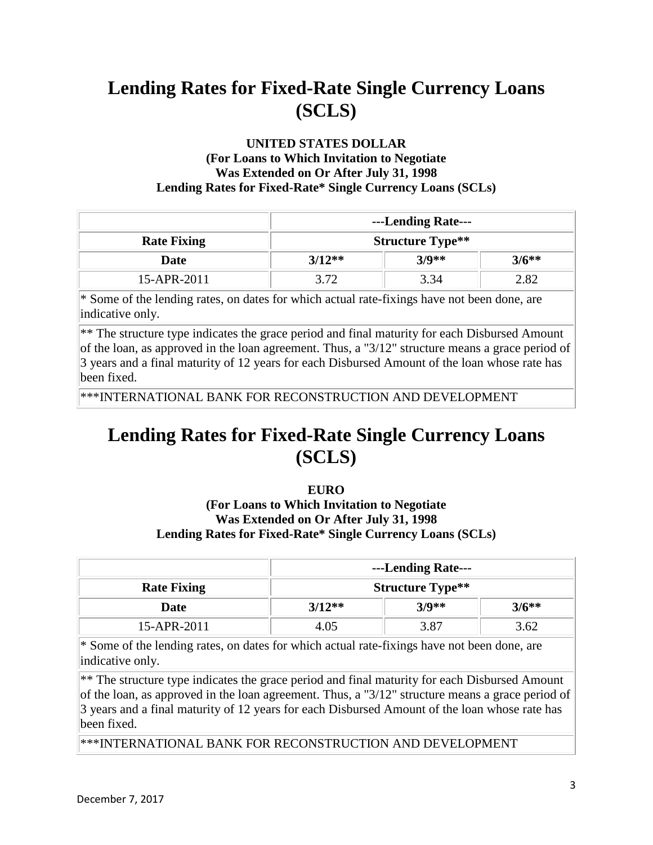#### **UNITED STATES DOLLAR (For Loans to Which Invitation to Negotiate Was Extended on Or After July 31, 1998 Lending Rates for Fixed-Rate\* Single Currency Loans (SCLs)**

|                    | ---Lending Rate---      |         |         |
|--------------------|-------------------------|---------|---------|
| <b>Rate Fixing</b> | <b>Structure Type**</b> |         |         |
| Date               | $3/12**$                | $3/9**$ | $3/6**$ |
| 15-APR-2011        |                         | 3.34    | 2.82    |

\* Some of the lending rates, on dates for which actual rate-fixings have not been done, are indicative only.

\*\* The structure type indicates the grace period and final maturity for each Disbursed Amount of the loan, as approved in the loan agreement. Thus, a "3/12" structure means a grace period of 3 years and a final maturity of 12 years for each Disbursed Amount of the loan whose rate has been fixed.

\*\*\*INTERNATIONAL BANK FOR RECONSTRUCTION AND DEVELOPMENT

### **Lending Rates for Fixed-Rate Single Currency Loans (SCLS)**

#### **EURO**

#### **(For Loans to Which Invitation to Negotiate Was Extended on Or After July 31, 1998 Lending Rates for Fixed-Rate\* Single Currency Loans (SCLs)**

|                    | ---Lending Rate---      |      |         |
|--------------------|-------------------------|------|---------|
| <b>Rate Fixing</b> | <b>Structure Type**</b> |      |         |
| Date               | $3/9**$<br>$3/12**$     |      | $3/6**$ |
| 15-APR-2011        | 4 05                    | 3.87 | 3.62    |

 $*$  Some of the lending rates, on dates for which actual rate-fixings have not been done, are indicative only.

\*\* The structure type indicates the grace period and final maturity for each Disbursed Amount of the loan, as approved in the loan agreement. Thus, a "3/12" structure means a grace period of 3 years and a final maturity of 12 years for each Disbursed Amount of the loan whose rate has been fixed.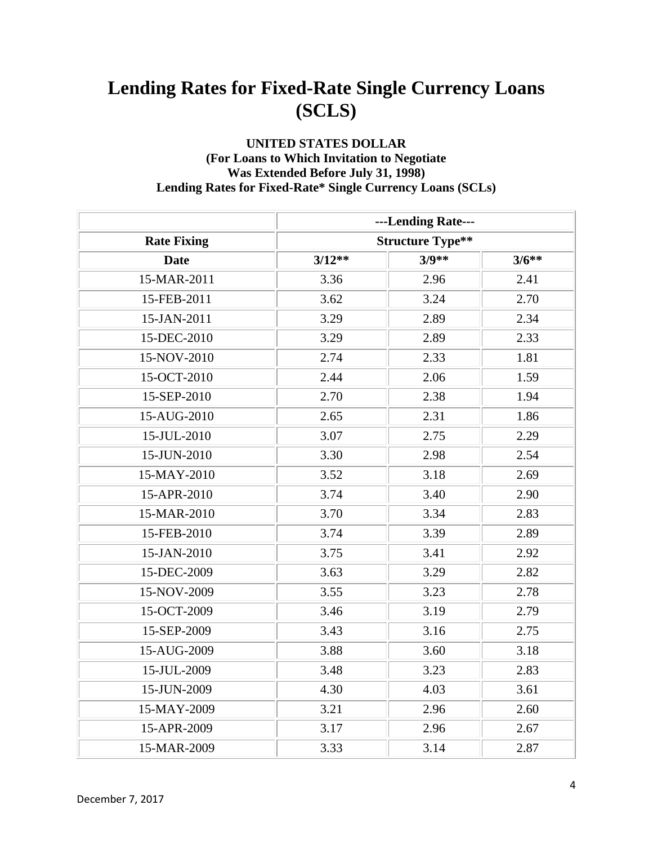#### **UNITED STATES DOLLAR (For Loans to Which Invitation to Negotiate Was Extended Before July 31, 1998) Lending Rates for Fixed-Rate\* Single Currency Loans (SCLs)**

|                    |          | ---Lending Rate---      |         |
|--------------------|----------|-------------------------|---------|
| <b>Rate Fixing</b> |          | <b>Structure Type**</b> |         |
| <b>Date</b>        | $3/12**$ | $3/9**$                 | $3/6**$ |
| 15-MAR-2011        | 3.36     | 2.96                    | 2.41    |
| 15-FEB-2011        | 3.62     | 3.24                    | 2.70    |
| 15-JAN-2011        | 3.29     | 2.89                    | 2.34    |
| 15-DEC-2010        | 3.29     | 2.89                    | 2.33    |
| 15-NOV-2010        | 2.74     | 2.33                    | 1.81    |
| 15-OCT-2010        | 2.44     | 2.06                    | 1.59    |
| 15-SEP-2010        | 2.70     | 2.38                    | 1.94    |
| 15-AUG-2010        | 2.65     | 2.31                    | 1.86    |
| 15-JUL-2010        | 3.07     | 2.75                    | 2.29    |
| 15-JUN-2010        | 3.30     | 2.98                    | 2.54    |
| 15-MAY-2010        | 3.52     | 3.18                    | 2.69    |
| 15-APR-2010        | 3.74     | 3.40                    | 2.90    |
| 15-MAR-2010        | 3.70     | 3.34                    | 2.83    |
| 15-FEB-2010        | 3.74     | 3.39                    | 2.89    |
| 15-JAN-2010        | 3.75     | 3.41                    | 2.92    |
| 15-DEC-2009        | 3.63     | 3.29                    | 2.82    |
| 15-NOV-2009        | 3.55     | 3.23                    | 2.78    |
| 15-OCT-2009        | 3.46     | 3.19                    | 2.79    |
| 15-SEP-2009        | 3.43     | 3.16                    | 2.75    |
| 15-AUG-2009        | 3.88     | 3.60                    | 3.18    |
| 15-JUL-2009        | 3.48     | 3.23                    | 2.83    |
| 15-JUN-2009        | 4.30     | 4.03                    | 3.61    |
| 15-MAY-2009        | 3.21     | 2.96                    | 2.60    |
| 15-APR-2009        | 3.17     | 2.96                    | 2.67    |
| 15-MAR-2009        | 3.33     | 3.14                    | 2.87    |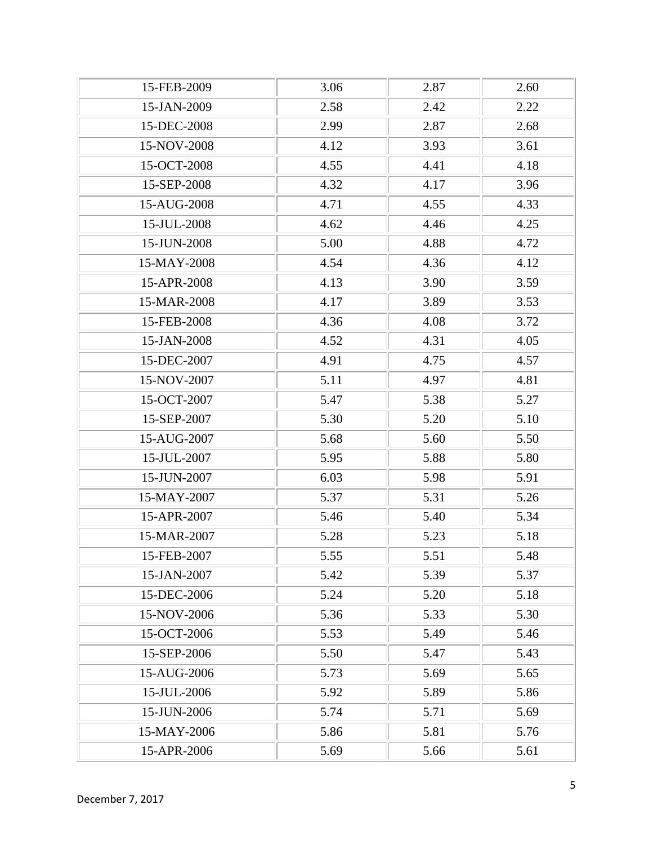| 15-FEB-2009 | 3.06 | 2.87 | 2.60 |
|-------------|------|------|------|
| 15-JAN-2009 | 2.58 | 2.42 | 2.22 |
| 15-DEC-2008 | 2.99 | 2.87 | 2.68 |
| 15-NOV-2008 | 4.12 | 3.93 | 3.61 |
| 15-OCT-2008 | 4.55 | 4.41 | 4.18 |
| 15-SEP-2008 | 4.32 | 4.17 | 3.96 |
| 15-AUG-2008 | 4.71 | 4.55 | 4.33 |
| 15-JUL-2008 | 4.62 | 4.46 | 4.25 |
| 15-JUN-2008 | 5.00 | 4.88 | 4.72 |
| 15-MAY-2008 | 4.54 | 4.36 | 4.12 |
| 15-APR-2008 | 4.13 | 3.90 | 3.59 |
| 15-MAR-2008 | 4.17 | 3.89 | 3.53 |
| 15-FEB-2008 | 4.36 | 4.08 | 3.72 |
| 15-JAN-2008 | 4.52 | 4.31 | 4.05 |
| 15-DEC-2007 | 4.91 | 4.75 | 4.57 |
| 15-NOV-2007 | 5.11 | 4.97 | 4.81 |
| 15-OCT-2007 | 5.47 | 5.38 | 5.27 |
| 15-SEP-2007 | 5.30 | 5.20 | 5.10 |
| 15-AUG-2007 | 5.68 | 5.60 | 5.50 |
| 15-JUL-2007 | 5.95 | 5.88 | 5.80 |
| 15-JUN-2007 | 6.03 | 5.98 | 5.91 |
| 15-MAY-2007 | 5.37 | 5.31 | 5.26 |
| 15-APR-2007 | 5.46 | 5.40 | 5.34 |
| 15-MAR-2007 | 5.28 | 5.23 | 5.18 |
| 15-FEB-2007 | 5.55 | 5.51 | 5.48 |
| 15-JAN-2007 | 5.42 | 5.39 | 5.37 |
| 15-DEC-2006 | 5.24 | 5.20 | 5.18 |
| 15-NOV-2006 | 5.36 | 5.33 | 5.30 |
| 15-OCT-2006 | 5.53 | 5.49 | 5.46 |
| 15-SEP-2006 | 5.50 | 5.47 | 5.43 |
| 15-AUG-2006 | 5.73 | 5.69 | 5.65 |
| 15-JUL-2006 | 5.92 | 5.89 | 5.86 |
| 15-JUN-2006 | 5.74 | 5.71 | 5.69 |
| 15-MAY-2006 | 5.86 | 5.81 | 5.76 |
| 15-APR-2006 | 5.69 | 5.66 | 5.61 |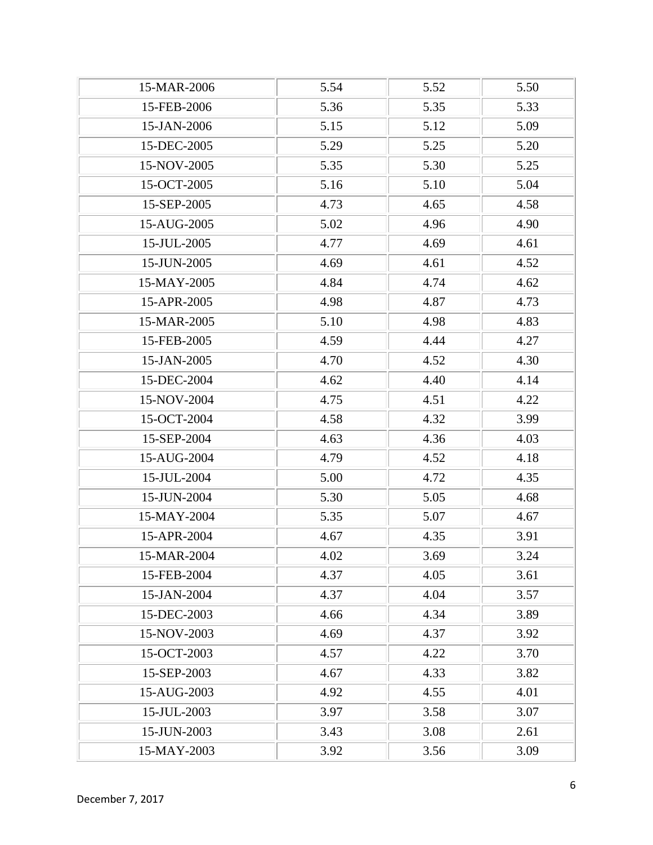| 15-MAR-2006 | 5.54 | 5.52 | 5.50 |
|-------------|------|------|------|
| 15-FEB-2006 | 5.36 | 5.35 | 5.33 |
| 15-JAN-2006 | 5.15 | 5.12 | 5.09 |
| 15-DEC-2005 | 5.29 | 5.25 | 5.20 |
| 15-NOV-2005 | 5.35 | 5.30 | 5.25 |
| 15-OCT-2005 | 5.16 | 5.10 | 5.04 |
| 15-SEP-2005 | 4.73 | 4.65 | 4.58 |
| 15-AUG-2005 | 5.02 | 4.96 | 4.90 |
| 15-JUL-2005 | 4.77 | 4.69 | 4.61 |
| 15-JUN-2005 | 4.69 | 4.61 | 4.52 |
| 15-MAY-2005 | 4.84 | 4.74 | 4.62 |
| 15-APR-2005 | 4.98 | 4.87 | 4.73 |
| 15-MAR-2005 | 5.10 | 4.98 | 4.83 |
| 15-FEB-2005 | 4.59 | 4.44 | 4.27 |
| 15-JAN-2005 | 4.70 | 4.52 | 4.30 |
| 15-DEC-2004 | 4.62 | 4.40 | 4.14 |
| 15-NOV-2004 | 4.75 | 4.51 | 4.22 |
| 15-OCT-2004 | 4.58 | 4.32 | 3.99 |
| 15-SEP-2004 | 4.63 | 4.36 | 4.03 |
| 15-AUG-2004 | 4.79 | 4.52 | 4.18 |
| 15-JUL-2004 | 5.00 | 4.72 | 4.35 |
| 15-JUN-2004 | 5.30 | 5.05 | 4.68 |
| 15-MAY-2004 | 5.35 | 5.07 | 4.67 |
| 15-APR-2004 | 4.67 | 4.35 | 3.91 |
| 15-MAR-2004 | 4.02 | 3.69 | 3.24 |
| 15-FEB-2004 | 4.37 | 4.05 | 3.61 |
| 15-JAN-2004 | 4.37 | 4.04 | 3.57 |
| 15-DEC-2003 | 4.66 | 4.34 | 3.89 |
| 15-NOV-2003 | 4.69 | 4.37 | 3.92 |
| 15-OCT-2003 | 4.57 | 4.22 | 3.70 |
| 15-SEP-2003 | 4.67 | 4.33 | 3.82 |
| 15-AUG-2003 | 4.92 | 4.55 | 4.01 |
| 15-JUL-2003 | 3.97 | 3.58 | 3.07 |
| 15-JUN-2003 | 3.43 | 3.08 | 2.61 |
| 15-MAY-2003 | 3.92 | 3.56 | 3.09 |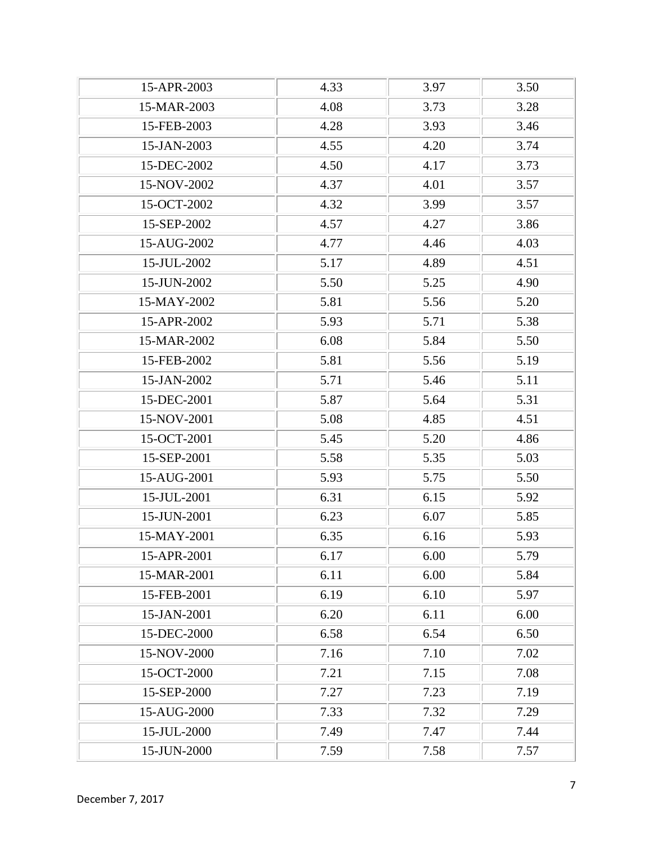| 15-APR-2003 | 4.33 | 3.97 | 3.50 |
|-------------|------|------|------|
| 15-MAR-2003 | 4.08 | 3.73 | 3.28 |
| 15-FEB-2003 | 4.28 | 3.93 | 3.46 |
| 15-JAN-2003 | 4.55 | 4.20 | 3.74 |
| 15-DEC-2002 | 4.50 | 4.17 | 3.73 |
| 15-NOV-2002 | 4.37 | 4.01 | 3.57 |
| 15-OCT-2002 | 4.32 | 3.99 | 3.57 |
| 15-SEP-2002 | 4.57 | 4.27 | 3.86 |
| 15-AUG-2002 | 4.77 | 4.46 | 4.03 |
| 15-JUL-2002 | 5.17 | 4.89 | 4.51 |
| 15-JUN-2002 | 5.50 | 5.25 | 4.90 |
| 15-MAY-2002 | 5.81 | 5.56 | 5.20 |
| 15-APR-2002 | 5.93 | 5.71 | 5.38 |
| 15-MAR-2002 | 6.08 | 5.84 | 5.50 |
| 15-FEB-2002 | 5.81 | 5.56 | 5.19 |
| 15-JAN-2002 | 5.71 | 5.46 | 5.11 |
| 15-DEC-2001 | 5.87 | 5.64 | 5.31 |
| 15-NOV-2001 | 5.08 | 4.85 | 4.51 |
| 15-OCT-2001 | 5.45 | 5.20 | 4.86 |
| 15-SEP-2001 | 5.58 | 5.35 | 5.03 |
| 15-AUG-2001 | 5.93 | 5.75 | 5.50 |
| 15-JUL-2001 | 6.31 | 6.15 | 5.92 |
| 15-JUN-2001 | 6.23 | 6.07 | 5.85 |
| 15-MAY-2001 | 6.35 | 6.16 | 5.93 |
| 15-APR-2001 | 6.17 | 6.00 | 5.79 |
| 15-MAR-2001 | 6.11 | 6.00 | 5.84 |
| 15-FEB-2001 | 6.19 | 6.10 | 5.97 |
| 15-JAN-2001 | 6.20 | 6.11 | 6.00 |
| 15-DEC-2000 | 6.58 | 6.54 | 6.50 |
| 15-NOV-2000 | 7.16 | 7.10 | 7.02 |
| 15-OCT-2000 | 7.21 | 7.15 | 7.08 |
| 15-SEP-2000 | 7.27 | 7.23 | 7.19 |
| 15-AUG-2000 | 7.33 | 7.32 | 7.29 |
| 15-JUL-2000 | 7.49 | 7.47 | 7.44 |
| 15-JUN-2000 | 7.59 | 7.58 | 7.57 |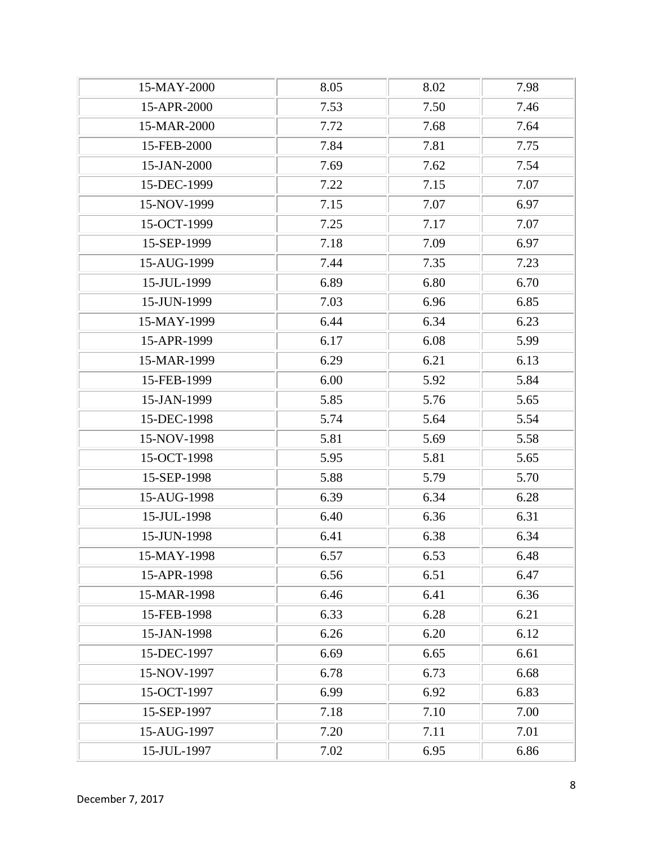| 15-MAY-2000 | 8.05 | 8.02 | 7.98 |
|-------------|------|------|------|
| 15-APR-2000 | 7.53 | 7.50 | 7.46 |
| 15-MAR-2000 | 7.72 | 7.68 | 7.64 |
| 15-FEB-2000 | 7.84 | 7.81 | 7.75 |
| 15-JAN-2000 | 7.69 | 7.62 | 7.54 |
| 15-DEC-1999 | 7.22 | 7.15 | 7.07 |
| 15-NOV-1999 | 7.15 | 7.07 | 6.97 |
| 15-OCT-1999 | 7.25 | 7.17 | 7.07 |
| 15-SEP-1999 | 7.18 | 7.09 | 6.97 |
| 15-AUG-1999 | 7.44 | 7.35 | 7.23 |
| 15-JUL-1999 | 6.89 | 6.80 | 6.70 |
| 15-JUN-1999 | 7.03 | 6.96 | 6.85 |
| 15-MAY-1999 | 6.44 | 6.34 | 6.23 |
| 15-APR-1999 | 6.17 | 6.08 | 5.99 |
| 15-MAR-1999 | 6.29 | 6.21 | 6.13 |
| 15-FEB-1999 | 6.00 | 5.92 | 5.84 |
| 15-JAN-1999 | 5.85 | 5.76 | 5.65 |
| 15-DEC-1998 | 5.74 | 5.64 | 5.54 |
| 15-NOV-1998 | 5.81 | 5.69 | 5.58 |
| 15-OCT-1998 | 5.95 | 5.81 | 5.65 |
| 15-SEP-1998 | 5.88 | 5.79 | 5.70 |
| 15-AUG-1998 | 6.39 | 6.34 | 6.28 |
| 15-JUL-1998 | 6.40 | 6.36 | 6.31 |
| 15-JUN-1998 | 6.41 | 6.38 | 6.34 |
| 15-MAY-1998 | 6.57 | 6.53 | 6.48 |
| 15-APR-1998 | 6.56 | 6.51 | 6.47 |
| 15-MAR-1998 | 6.46 | 6.41 | 6.36 |
| 15-FEB-1998 | 6.33 | 6.28 | 6.21 |
| 15-JAN-1998 | 6.26 | 6.20 | 6.12 |
| 15-DEC-1997 | 6.69 | 6.65 | 6.61 |
| 15-NOV-1997 | 6.78 | 6.73 | 6.68 |
| 15-OCT-1997 | 6.99 | 6.92 | 6.83 |
| 15-SEP-1997 | 7.18 | 7.10 | 7.00 |
| 15-AUG-1997 | 7.20 | 7.11 | 7.01 |
| 15-JUL-1997 | 7.02 | 6.95 | 6.86 |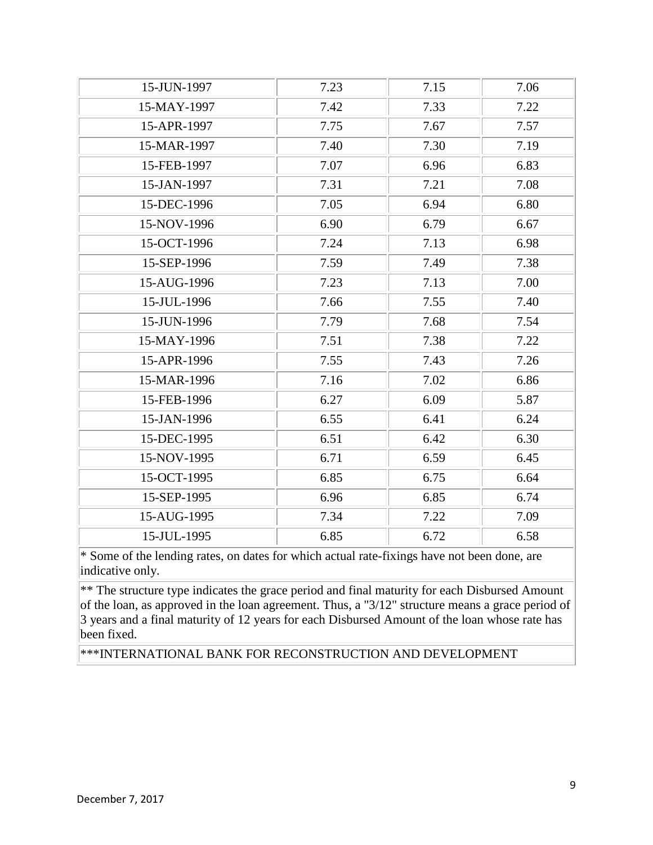| 15-JUN-1997 | 7.23 | 7.15 | 7.06 |
|-------------|------|------|------|
| 15-MAY-1997 | 7.42 | 7.33 | 7.22 |
| 15-APR-1997 | 7.75 | 7.67 | 7.57 |
| 15-MAR-1997 | 7.40 | 7.30 | 7.19 |
| 15-FEB-1997 | 7.07 | 6.96 | 6.83 |
| 15-JAN-1997 | 7.31 | 7.21 | 7.08 |
| 15-DEC-1996 | 7.05 | 6.94 | 6.80 |
| 15-NOV-1996 | 6.90 | 6.79 | 6.67 |
| 15-OCT-1996 | 7.24 | 7.13 | 6.98 |
| 15-SEP-1996 | 7.59 | 7.49 | 7.38 |
| 15-AUG-1996 | 7.23 | 7.13 | 7.00 |
| 15-JUL-1996 | 7.66 | 7.55 | 7.40 |
| 15-JUN-1996 | 7.79 | 7.68 | 7.54 |
| 15-MAY-1996 | 7.51 | 7.38 | 7.22 |
| 15-APR-1996 | 7.55 | 7.43 | 7.26 |
| 15-MAR-1996 | 7.16 | 7.02 | 6.86 |
| 15-FEB-1996 | 6.27 | 6.09 | 5.87 |
| 15-JAN-1996 | 6.55 | 6.41 | 6.24 |
| 15-DEC-1995 | 6.51 | 6.42 | 6.30 |
| 15-NOV-1995 | 6.71 | 6.59 | 6.45 |
| 15-OCT-1995 | 6.85 | 6.75 | 6.64 |
| 15-SEP-1995 | 6.96 | 6.85 | 6.74 |
| 15-AUG-1995 | 7.34 | 7.22 | 7.09 |
| 15-JUL-1995 | 6.85 | 6.72 | 6.58 |
|             |      |      |      |

\*\* The structure type indicates the grace period and final maturity for each Disbursed Amount of the loan, as approved in the loan agreement. Thus, a "3/12" structure means a grace period of 3 years and a final maturity of 12 years for each Disbursed Amount of the loan whose rate has been fixed.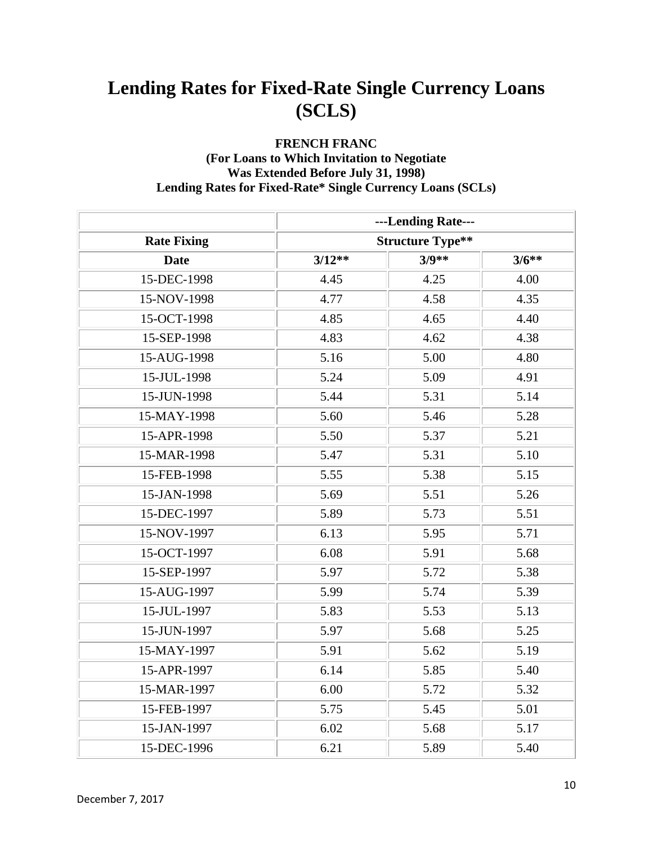#### **FRENCH FRANC (For Loans to Which Invitation to Negotiate Was Extended Before July 31, 1998) Lending Rates for Fixed-Rate\* Single Currency Loans (SCLs)**

|                    |                         | ---Lending Rate--- |         |
|--------------------|-------------------------|--------------------|---------|
| <b>Rate Fixing</b> | <b>Structure Type**</b> |                    |         |
| <b>Date</b>        | $3/12**$                | $3/9**$            | $3/6**$ |
| 15-DEC-1998        | 4.45                    | 4.25               | 4.00    |
| 15-NOV-1998        | 4.77                    | 4.58               | 4.35    |
| 15-OCT-1998        | 4.85                    | 4.65               | 4.40    |
| 15-SEP-1998        | 4.83                    | 4.62               | 4.38    |
| 15-AUG-1998        | 5.16                    | 5.00               | 4.80    |
| 15-JUL-1998        | 5.24                    | 5.09               | 4.91    |
| 15-JUN-1998        | 5.44                    | 5.31               | 5.14    |
| 15-MAY-1998        | 5.60                    | 5.46               | 5.28    |
| 15-APR-1998        | 5.50                    | 5.37               | 5.21    |
| 15-MAR-1998        | 5.47                    | 5.31               | 5.10    |
| 15-FEB-1998        | 5.55                    | 5.38               | 5.15    |
| 15-JAN-1998        | 5.69                    | 5.51               | 5.26    |
| 15-DEC-1997        | 5.89                    | 5.73               | 5.51    |
| 15-NOV-1997        | 6.13                    | 5.95               | 5.71    |
| 15-OCT-1997        | 6.08                    | 5.91               | 5.68    |
| 15-SEP-1997        | 5.97                    | 5.72               | 5.38    |
| 15-AUG-1997        | 5.99                    | 5.74               | 5.39    |
| 15-JUL-1997        | 5.83                    | 5.53               | 5.13    |
| 15-JUN-1997        | 5.97                    | 5.68               | 5.25    |
| 15-MAY-1997        | 5.91                    | 5.62               | 5.19    |
| 15-APR-1997        | 6.14                    | 5.85               | 5.40    |
| 15-MAR-1997        | 6.00                    | 5.72               | 5.32    |
| 15-FEB-1997        | 5.75                    | 5.45               | 5.01    |
| 15-JAN-1997        | 6.02                    | 5.68               | 5.17    |
| 15-DEC-1996        | 6.21                    | 5.89               | 5.40    |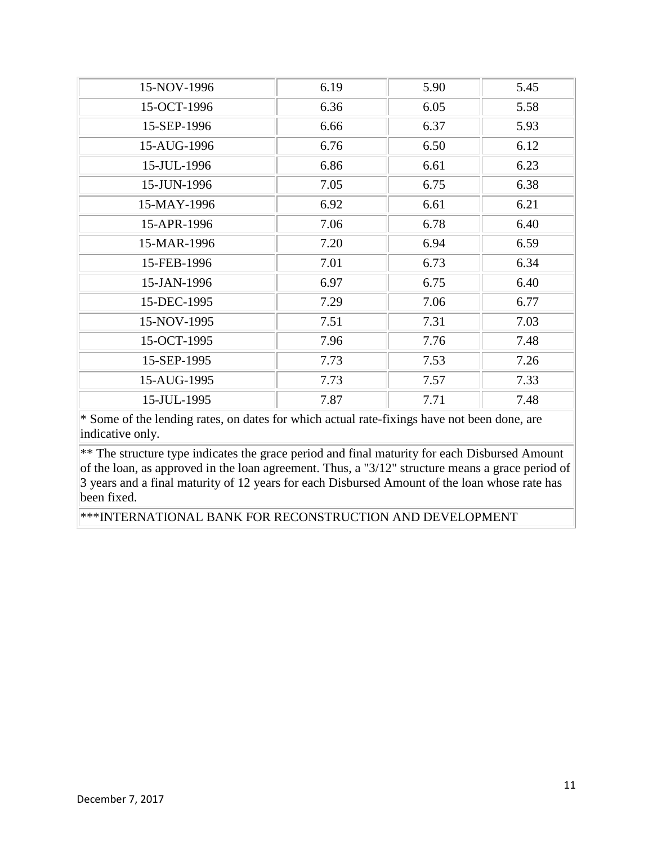| 15-NOV-1996 | 6.19 | 5.90 | 5.45 |
|-------------|------|------|------|
| 15-OCT-1996 | 6.36 | 6.05 | 5.58 |
| 15-SEP-1996 | 6.66 | 6.37 | 5.93 |
| 15-AUG-1996 | 6.76 | 6.50 | 6.12 |
| 15-JUL-1996 | 6.86 | 6.61 | 6.23 |
| 15-JUN-1996 | 7.05 | 6.75 | 6.38 |
| 15-MAY-1996 | 6.92 | 6.61 | 6.21 |
| 15-APR-1996 | 7.06 | 6.78 | 6.40 |
| 15-MAR-1996 | 7.20 | 6.94 | 6.59 |
| 15-FEB-1996 | 7.01 | 6.73 | 6.34 |
| 15-JAN-1996 | 6.97 | 6.75 | 6.40 |
| 15-DEC-1995 | 7.29 | 7.06 | 6.77 |
| 15-NOV-1995 | 7.51 | 7.31 | 7.03 |
| 15-OCT-1995 | 7.96 | 7.76 | 7.48 |
| 15-SEP-1995 | 7.73 | 7.53 | 7.26 |
| 15-AUG-1995 | 7.73 | 7.57 | 7.33 |
| 15-JUL-1995 | 7.87 | 7.71 | 7.48 |

\*\* The structure type indicates the grace period and final maturity for each Disbursed Amount of the loan, as approved in the loan agreement. Thus, a "3/12" structure means a grace period of 3 years and a final maturity of 12 years for each Disbursed Amount of the loan whose rate has been fixed.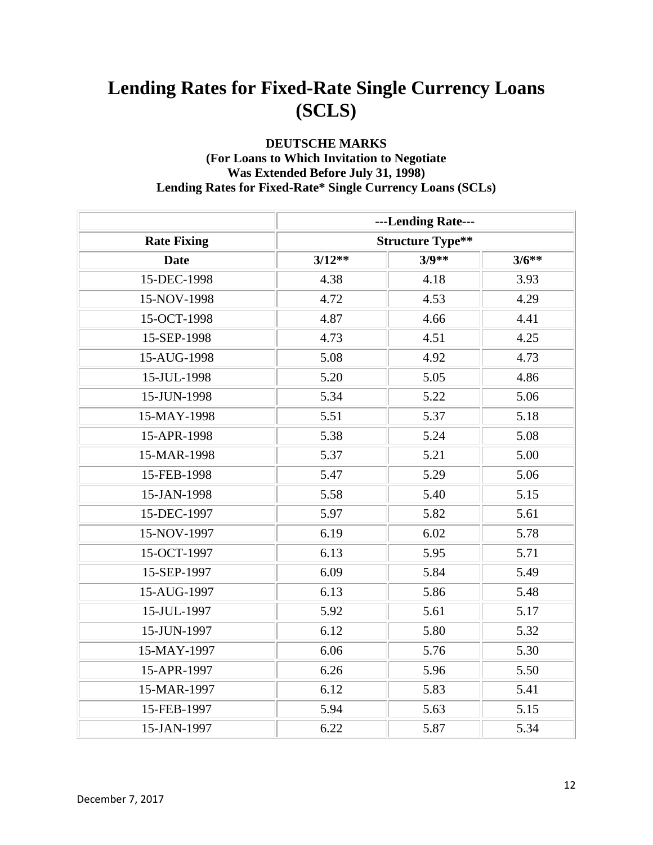#### **DEUTSCHE MARKS (For Loans to Which Invitation to Negotiate Was Extended Before July 31, 1998) Lending Rates for Fixed-Rate\* Single Currency Loans (SCLs)**

|                    |                         | ---Lending Rate--- |         |
|--------------------|-------------------------|--------------------|---------|
| <b>Rate Fixing</b> | <b>Structure Type**</b> |                    |         |
| <b>Date</b>        | $3/12**$                | $3/9**$            | $3/6**$ |
| 15-DEC-1998        | 4.38                    | 4.18               | 3.93    |
| 15-NOV-1998        | 4.72                    | 4.53               | 4.29    |
| 15-OCT-1998        | 4.87                    | 4.66               | 4.41    |
| 15-SEP-1998        | 4.73                    | 4.51               | 4.25    |
| 15-AUG-1998        | 5.08                    | 4.92               | 4.73    |
| 15-JUL-1998        | 5.20                    | 5.05               | 4.86    |
| 15-JUN-1998        | 5.34                    | 5.22               | 5.06    |
| 15-MAY-1998        | 5.51                    | 5.37               | 5.18    |
| 15-APR-1998        | 5.38                    | 5.24               | 5.08    |
| 15-MAR-1998        | 5.37                    | 5.21               | 5.00    |
| 15-FEB-1998        | 5.47                    | 5.29               | 5.06    |
| 15-JAN-1998        | 5.58                    | 5.40               | 5.15    |
| 15-DEC-1997        | 5.97                    | 5.82               | 5.61    |
| 15-NOV-1997        | 6.19                    | 6.02               | 5.78    |
| 15-OCT-1997        | 6.13                    | 5.95               | 5.71    |
| 15-SEP-1997        | 6.09                    | 5.84               | 5.49    |
| 15-AUG-1997        | 6.13                    | 5.86               | 5.48    |
| 15-JUL-1997        | 5.92                    | 5.61               | 5.17    |
| 15-JUN-1997        | 6.12                    | 5.80               | 5.32    |
| 15-MAY-1997        | 6.06                    | 5.76               | 5.30    |
| 15-APR-1997        | 6.26                    | 5.96               | 5.50    |
| 15-MAR-1997        | 6.12                    | 5.83               | 5.41    |
| 15-FEB-1997        | 5.94                    | 5.63               | 5.15    |
| 15-JAN-1997        | 6.22                    | 5.87               | 5.34    |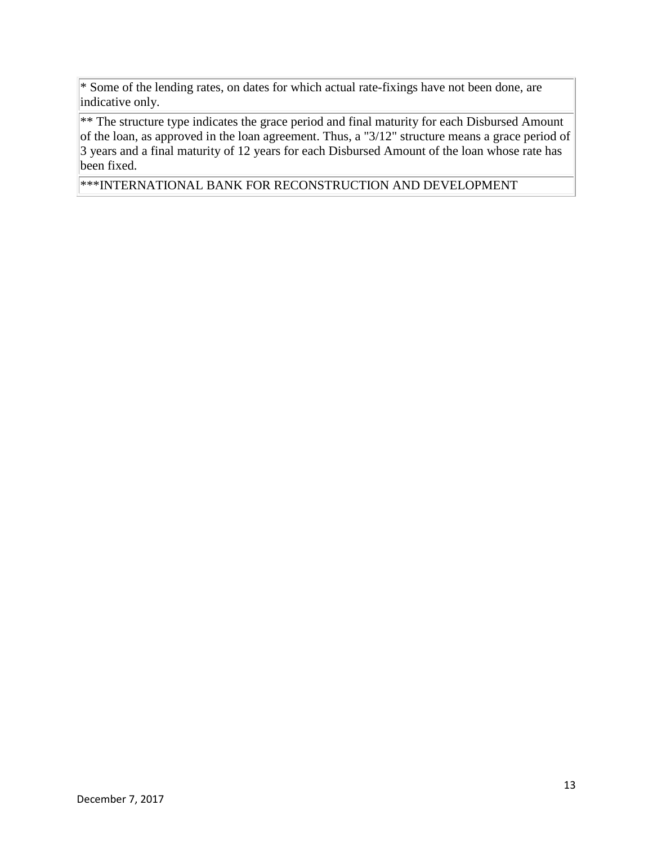\*\* The structure type indicates the grace period and final maturity for each Disbursed Amount of the loan, as approved in the loan agreement. Thus, a "3/12" structure means a grace period of 3 years and a final maturity of 12 years for each Disbursed Amount of the loan whose rate has been fixed.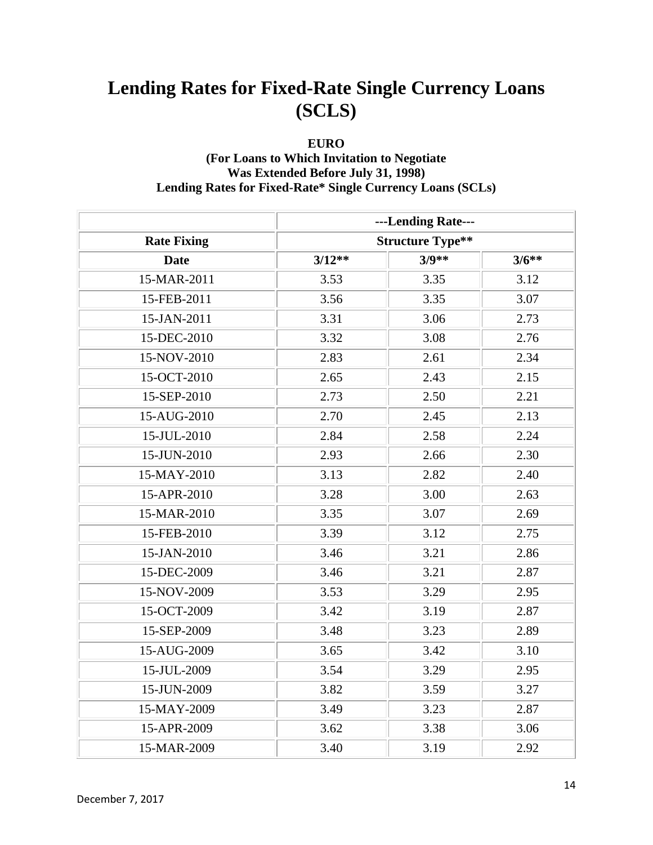#### **EURO**

#### **(For Loans to Which Invitation to Negotiate Was Extended Before July 31, 1998) Lending Rates for Fixed-Rate\* Single Currency Loans (SCLs)**

|                    |                         | ---Lending Rate--- |         |
|--------------------|-------------------------|--------------------|---------|
| <b>Rate Fixing</b> | <b>Structure Type**</b> |                    |         |
| <b>Date</b>        | $3/12**$                | $3/9**$            | $3/6**$ |
| 15-MAR-2011        | 3.53                    | 3.35               | 3.12    |
| 15-FEB-2011        | 3.56                    | 3.35               | 3.07    |
| 15-JAN-2011        | 3.31                    | 3.06               | 2.73    |
| 15-DEC-2010        | 3.32                    | 3.08               | 2.76    |
| 15-NOV-2010        | 2.83                    | 2.61               | 2.34    |
| 15-OCT-2010        | 2.65                    | 2.43               | 2.15    |
| 15-SEP-2010        | 2.73                    | 2.50               | 2.21    |
| 15-AUG-2010        | 2.70                    | 2.45               | 2.13    |
| 15-JUL-2010        | 2.84                    | 2.58               | 2.24    |
| 15-JUN-2010        | 2.93                    | 2.66               | 2.30    |
| 15-MAY-2010        | 3.13                    | 2.82               | 2.40    |
| 15-APR-2010        | 3.28                    | 3.00               | 2.63    |
| 15-MAR-2010        | 3.35                    | 3.07               | 2.69    |
| 15-FEB-2010        | 3.39                    | 3.12               | 2.75    |
| 15-JAN-2010        | 3.46                    | 3.21               | 2.86    |
| 15-DEC-2009        | 3.46                    | 3.21               | 2.87    |
| 15-NOV-2009        | 3.53                    | 3.29               | 2.95    |
| 15-OCT-2009        | 3.42                    | 3.19               | 2.87    |
| 15-SEP-2009        | 3.48                    | 3.23               | 2.89    |
| 15-AUG-2009        | 3.65                    | 3.42               | 3.10    |
| 15-JUL-2009        | 3.54                    | 3.29               | 2.95    |
| 15-JUN-2009        | 3.82                    | 3.59               | 3.27    |
| 15-MAY-2009        | 3.49                    | 3.23               | 2.87    |
| 15-APR-2009        | 3.62                    | 3.38               | 3.06    |
| 15-MAR-2009        | 3.40                    | 3.19               | 2.92    |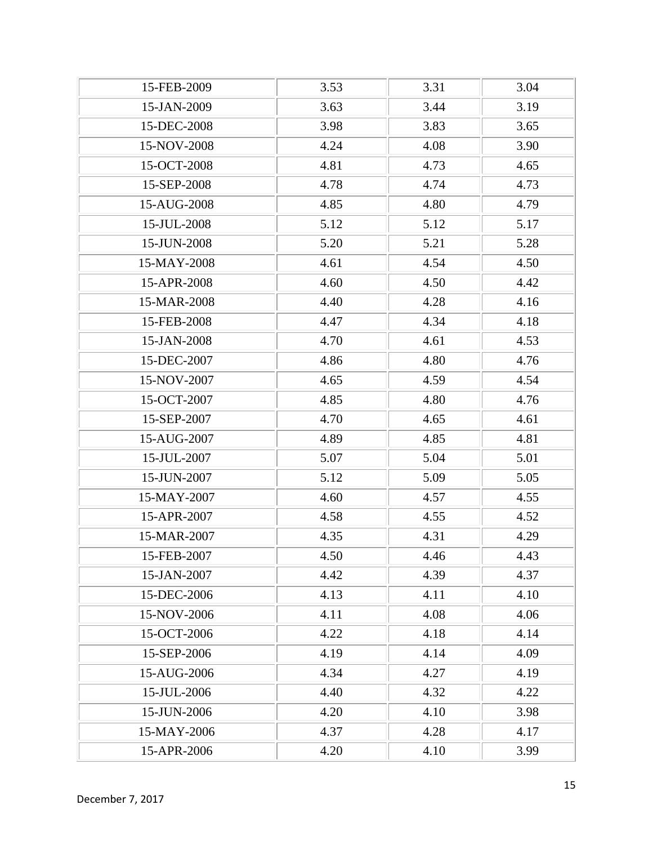| 15-FEB-2009 | 3.53 | 3.31 | 3.04 |
|-------------|------|------|------|
| 15-JAN-2009 | 3.63 | 3.44 | 3.19 |
| 15-DEC-2008 | 3.98 | 3.83 | 3.65 |
| 15-NOV-2008 | 4.24 | 4.08 | 3.90 |
| 15-OCT-2008 | 4.81 | 4.73 | 4.65 |
| 15-SEP-2008 | 4.78 | 4.74 | 4.73 |
| 15-AUG-2008 | 4.85 | 4.80 | 4.79 |
| 15-JUL-2008 | 5.12 | 5.12 | 5.17 |
| 15-JUN-2008 | 5.20 | 5.21 | 5.28 |
| 15-MAY-2008 | 4.61 | 4.54 | 4.50 |
| 15-APR-2008 | 4.60 | 4.50 | 4.42 |
| 15-MAR-2008 | 4.40 | 4.28 | 4.16 |
| 15-FEB-2008 | 4.47 | 4.34 | 4.18 |
| 15-JAN-2008 | 4.70 | 4.61 | 4.53 |
| 15-DEC-2007 | 4.86 | 4.80 | 4.76 |
| 15-NOV-2007 | 4.65 | 4.59 | 4.54 |
| 15-OCT-2007 | 4.85 | 4.80 | 4.76 |
| 15-SEP-2007 | 4.70 | 4.65 | 4.61 |
| 15-AUG-2007 | 4.89 | 4.85 | 4.81 |
| 15-JUL-2007 | 5.07 | 5.04 | 5.01 |
| 15-JUN-2007 | 5.12 | 5.09 | 5.05 |
| 15-MAY-2007 | 4.60 | 4.57 | 4.55 |
| 15-APR-2007 | 4.58 | 4.55 | 4.52 |
| 15-MAR-2007 | 4.35 | 4.31 | 4.29 |
| 15-FEB-2007 | 4.50 | 4.46 | 4.43 |
| 15-JAN-2007 | 4.42 | 4.39 | 4.37 |
| 15-DEC-2006 | 4.13 | 4.11 | 4.10 |
| 15-NOV-2006 | 4.11 | 4.08 | 4.06 |
| 15-OCT-2006 | 4.22 | 4.18 | 4.14 |
| 15-SEP-2006 | 4.19 | 4.14 | 4.09 |
| 15-AUG-2006 | 4.34 | 4.27 | 4.19 |
| 15-JUL-2006 | 4.40 | 4.32 | 4.22 |
| 15-JUN-2006 | 4.20 | 4.10 | 3.98 |
| 15-MAY-2006 | 4.37 | 4.28 | 4.17 |
| 15-APR-2006 | 4.20 | 4.10 | 3.99 |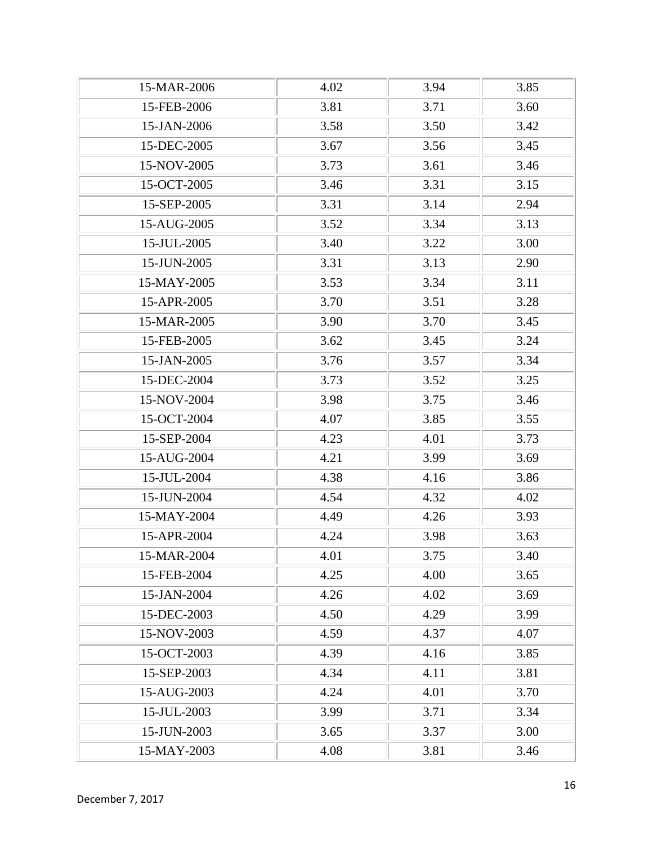| 15-MAR-2006 | 4.02 | 3.94 | 3.85 |
|-------------|------|------|------|
| 15-FEB-2006 | 3.81 | 3.71 | 3.60 |
| 15-JAN-2006 | 3.58 | 3.50 | 3.42 |
| 15-DEC-2005 | 3.67 | 3.56 | 3.45 |
| 15-NOV-2005 | 3.73 | 3.61 | 3.46 |
| 15-OCT-2005 | 3.46 | 3.31 | 3.15 |
| 15-SEP-2005 | 3.31 | 3.14 | 2.94 |
| 15-AUG-2005 | 3.52 | 3.34 | 3.13 |
| 15-JUL-2005 | 3.40 | 3.22 | 3.00 |
| 15-JUN-2005 | 3.31 | 3.13 | 2.90 |
| 15-MAY-2005 | 3.53 | 3.34 | 3.11 |
| 15-APR-2005 | 3.70 | 3.51 | 3.28 |
| 15-MAR-2005 | 3.90 | 3.70 | 3.45 |
| 15-FEB-2005 | 3.62 | 3.45 | 3.24 |
| 15-JAN-2005 | 3.76 | 3.57 | 3.34 |
| 15-DEC-2004 | 3.73 | 3.52 | 3.25 |
| 15-NOV-2004 | 3.98 | 3.75 | 3.46 |
| 15-OCT-2004 | 4.07 | 3.85 | 3.55 |
| 15-SEP-2004 | 4.23 | 4.01 | 3.73 |
| 15-AUG-2004 | 4.21 | 3.99 | 3.69 |
| 15-JUL-2004 | 4.38 | 4.16 | 3.86 |
| 15-JUN-2004 | 4.54 | 4.32 | 4.02 |
| 15-MAY-2004 | 4.49 | 4.26 | 3.93 |
| 15-APR-2004 | 4.24 | 3.98 | 3.63 |
| 15-MAR-2004 | 4.01 | 3.75 | 3.40 |
| 15-FEB-2004 | 4.25 | 4.00 | 3.65 |
| 15-JAN-2004 | 4.26 | 4.02 | 3.69 |
| 15-DEC-2003 | 4.50 | 4.29 | 3.99 |
| 15-NOV-2003 | 4.59 | 4.37 | 4.07 |
| 15-OCT-2003 | 4.39 | 4.16 | 3.85 |
| 15-SEP-2003 | 4.34 | 4.11 | 3.81 |
| 15-AUG-2003 | 4.24 | 4.01 | 3.70 |
| 15-JUL-2003 | 3.99 | 3.71 | 3.34 |
| 15-JUN-2003 | 3.65 | 3.37 | 3.00 |
| 15-MAY-2003 | 4.08 | 3.81 | 3.46 |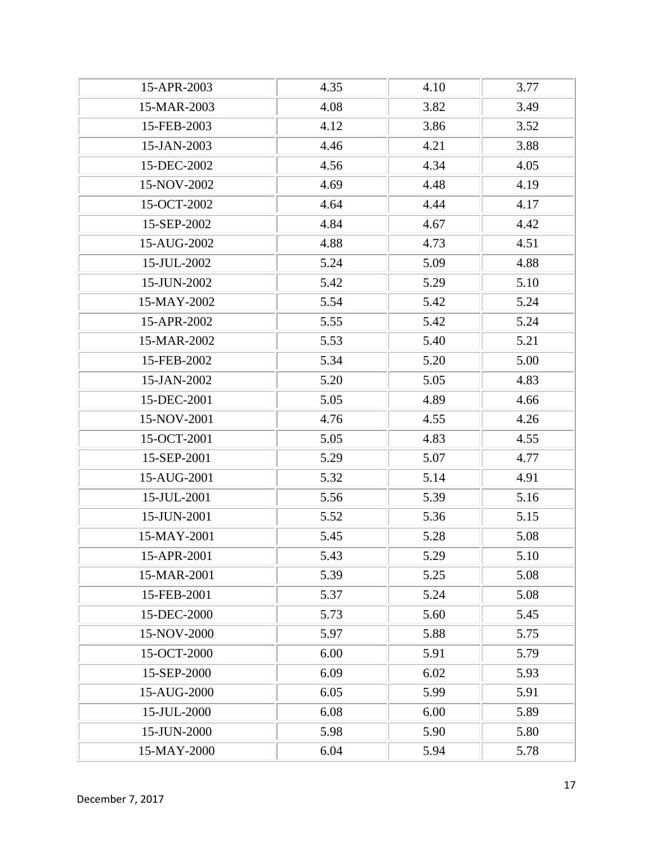| 15-APR-2003 | 4.35 | 4.10 | 3.77 |
|-------------|------|------|------|
| 15-MAR-2003 | 4.08 | 3.82 | 3.49 |
| 15-FEB-2003 | 4.12 | 3.86 | 3.52 |
| 15-JAN-2003 | 4.46 | 4.21 | 3.88 |
| 15-DEC-2002 | 4.56 | 4.34 | 4.05 |
| 15-NOV-2002 | 4.69 | 4.48 | 4.19 |
| 15-OCT-2002 | 4.64 | 4.44 | 4.17 |
| 15-SEP-2002 | 4.84 | 4.67 | 4.42 |
| 15-AUG-2002 | 4.88 | 4.73 | 4.51 |
| 15-JUL-2002 | 5.24 | 5.09 | 4.88 |
| 15-JUN-2002 | 5.42 | 5.29 | 5.10 |
| 15-MAY-2002 | 5.54 | 5.42 | 5.24 |
| 15-APR-2002 | 5.55 | 5.42 | 5.24 |
| 15-MAR-2002 | 5.53 | 5.40 | 5.21 |
| 15-FEB-2002 | 5.34 | 5.20 | 5.00 |
| 15-JAN-2002 | 5.20 | 5.05 | 4.83 |
| 15-DEC-2001 | 5.05 | 4.89 | 4.66 |
| 15-NOV-2001 | 4.76 | 4.55 | 4.26 |
| 15-OCT-2001 | 5.05 | 4.83 | 4.55 |
| 15-SEP-2001 | 5.29 | 5.07 | 4.77 |
| 15-AUG-2001 | 5.32 | 5.14 | 4.91 |
| 15-JUL-2001 | 5.56 | 5.39 | 5.16 |
| 15-JUN-2001 | 5.52 | 5.36 | 5.15 |
| 15-MAY-2001 | 5.45 | 5.28 | 5.08 |
| 15-APR-2001 | 5.43 | 5.29 | 5.10 |
| 15-MAR-2001 | 5.39 | 5.25 | 5.08 |
| 15-FEB-2001 | 5.37 | 5.24 | 5.08 |
| 15-DEC-2000 | 5.73 | 5.60 | 5.45 |
| 15-NOV-2000 | 5.97 | 5.88 | 5.75 |
| 15-OCT-2000 | 6.00 | 5.91 | 5.79 |
| 15-SEP-2000 | 6.09 | 6.02 | 5.93 |
| 15-AUG-2000 | 6.05 | 5.99 | 5.91 |
| 15-JUL-2000 | 6.08 | 6.00 | 5.89 |
| 15-JUN-2000 | 5.98 | 5.90 | 5.80 |
| 15-MAY-2000 | 6.04 | 5.94 | 5.78 |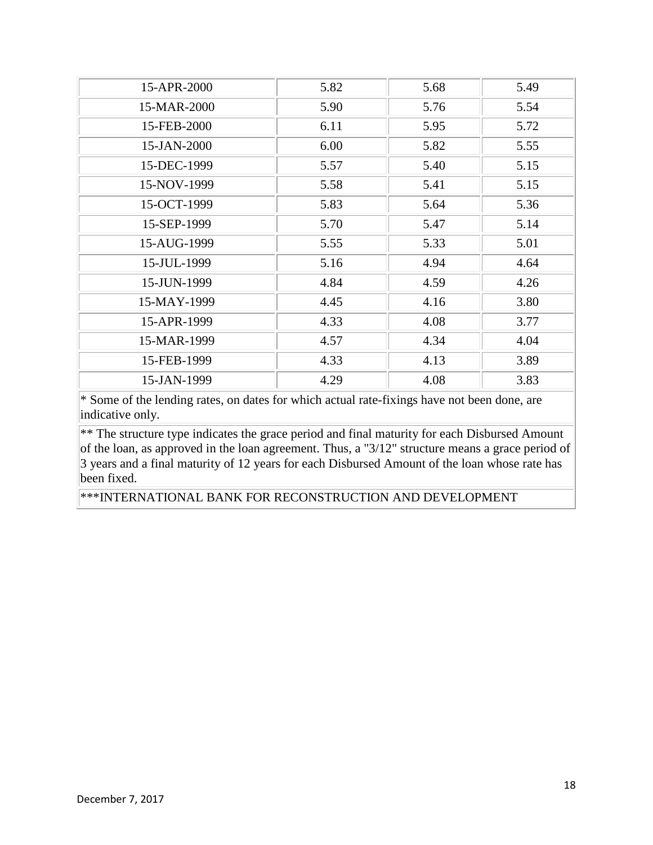| 15-APR-2000 | 5.82 | 5.68 | 5.49 |
|-------------|------|------|------|
| 15-MAR-2000 | 5.90 | 5.76 | 5.54 |
| 15-FEB-2000 | 6.11 | 5.95 | 5.72 |
| 15-JAN-2000 | 6.00 | 5.82 | 5.55 |
| 15-DEC-1999 | 5.57 | 5.40 | 5.15 |
| 15-NOV-1999 | 5.58 | 5.41 | 5.15 |
| 15-OCT-1999 | 5.83 | 5.64 | 5.36 |
| 15-SEP-1999 | 5.70 | 5.47 | 5.14 |
| 15-AUG-1999 | 5.55 | 5.33 | 5.01 |
| 15-JUL-1999 | 5.16 | 4.94 | 4.64 |
| 15-JUN-1999 | 4.84 | 4.59 | 4.26 |
| 15-MAY-1999 | 4.45 | 4.16 | 3.80 |
| 15-APR-1999 | 4.33 | 4.08 | 3.77 |
| 15-MAR-1999 | 4.57 | 4.34 | 4.04 |
| 15-FEB-1999 | 4.33 | 4.13 | 3.89 |
| 15-JAN-1999 | 4.29 | 4.08 | 3.83 |

 $**$  The structure type indicates the grace period and final maturity for each Disbursed Amount of the loan, as approved in the loan agreement. Thus, a "3/12" structure means a grace period of 3 years and a final maturity of 12 years for each Disbursed Amount of the loan whose rate has been fixed.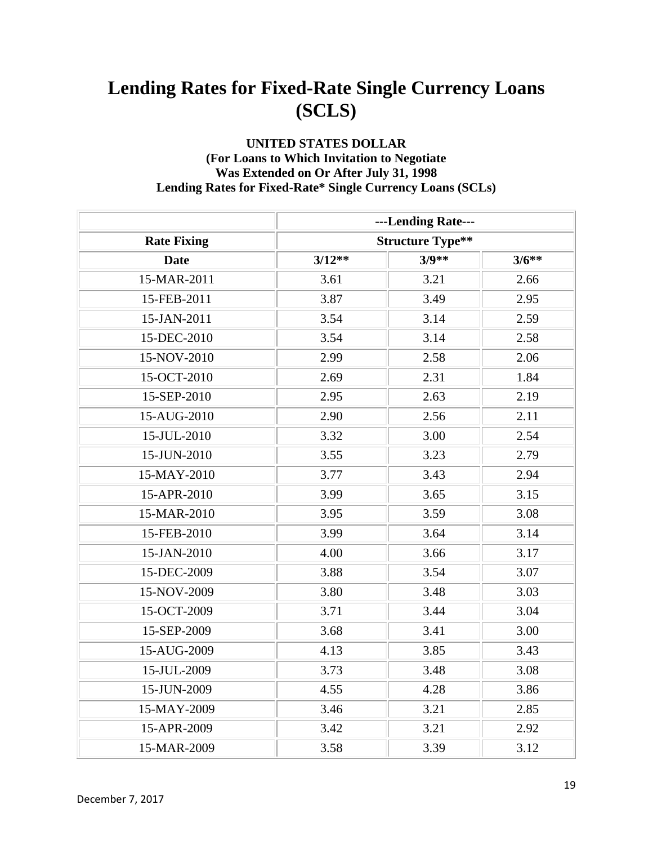#### **UNITED STATES DOLLAR (For Loans to Which Invitation to Negotiate Was Extended on Or After July 31, 1998 Lending Rates for Fixed-Rate\* Single Currency Loans (SCLs)**

|                    |                         | ---Lending Rate--- |         |
|--------------------|-------------------------|--------------------|---------|
| <b>Rate Fixing</b> | <b>Structure Type**</b> |                    |         |
| <b>Date</b>        | $3/12**$                | $3/9**$            | $3/6**$ |
| 15-MAR-2011        | 3.61                    | 3.21               | 2.66    |
| 15-FEB-2011        | 3.87                    | 3.49               | 2.95    |
| 15-JAN-2011        | 3.54                    | 3.14               | 2.59    |
| 15-DEC-2010        | 3.54                    | 3.14               | 2.58    |
| 15-NOV-2010        | 2.99                    | 2.58               | 2.06    |
| 15-OCT-2010        | 2.69                    | 2.31               | 1.84    |
| 15-SEP-2010        | 2.95                    | 2.63               | 2.19    |
| 15-AUG-2010        | 2.90                    | 2.56               | 2.11    |
| 15-JUL-2010        | 3.32                    | 3.00               | 2.54    |
| 15-JUN-2010        | 3.55                    | 3.23               | 2.79    |
| 15-MAY-2010        | 3.77                    | 3.43               | 2.94    |
| 15-APR-2010        | 3.99                    | 3.65               | 3.15    |
| 15-MAR-2010        | 3.95                    | 3.59               | 3.08    |
| 15-FEB-2010        | 3.99                    | 3.64               | 3.14    |
| 15-JAN-2010        | 4.00                    | 3.66               | 3.17    |
| 15-DEC-2009        | 3.88                    | 3.54               | 3.07    |
| 15-NOV-2009        | 3.80                    | 3.48               | 3.03    |
| 15-OCT-2009        | 3.71                    | 3.44               | 3.04    |
| 15-SEP-2009        | 3.68                    | 3.41               | 3.00    |
| 15-AUG-2009        | 4.13                    | 3.85               | 3.43    |
| 15-JUL-2009        | 3.73                    | 3.48               | 3.08    |
| 15-JUN-2009        | 4.55                    | 4.28               | 3.86    |
| 15-MAY-2009        | 3.46                    | 3.21               | 2.85    |
| 15-APR-2009        | 3.42                    | 3.21               | 2.92    |
| 15-MAR-2009        | 3.58                    | 3.39               | 3.12    |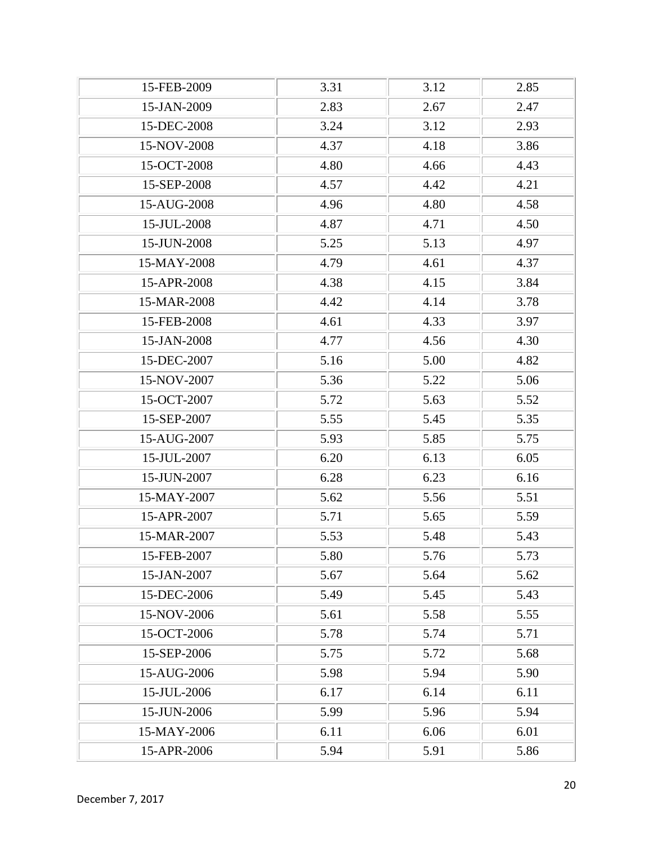| 15-FEB-2009 | 3.31 | 3.12 | 2.85 |
|-------------|------|------|------|
| 15-JAN-2009 | 2.83 | 2.67 | 2.47 |
| 15-DEC-2008 | 3.24 | 3.12 | 2.93 |
| 15-NOV-2008 | 4.37 | 4.18 | 3.86 |
| 15-OCT-2008 | 4.80 | 4.66 | 4.43 |
| 15-SEP-2008 | 4.57 | 4.42 | 4.21 |
| 15-AUG-2008 | 4.96 | 4.80 | 4.58 |
| 15-JUL-2008 | 4.87 | 4.71 | 4.50 |
| 15-JUN-2008 | 5.25 | 5.13 | 4.97 |
| 15-MAY-2008 | 4.79 | 4.61 | 4.37 |
| 15-APR-2008 | 4.38 | 4.15 | 3.84 |
| 15-MAR-2008 | 4.42 | 4.14 | 3.78 |
| 15-FEB-2008 | 4.61 | 4.33 | 3.97 |
| 15-JAN-2008 | 4.77 | 4.56 | 4.30 |
| 15-DEC-2007 | 5.16 | 5.00 | 4.82 |
| 15-NOV-2007 | 5.36 | 5.22 | 5.06 |
| 15-OCT-2007 | 5.72 | 5.63 | 5.52 |
| 15-SEP-2007 | 5.55 | 5.45 | 5.35 |
| 15-AUG-2007 | 5.93 | 5.85 | 5.75 |
| 15-JUL-2007 | 6.20 | 6.13 | 6.05 |
| 15-JUN-2007 | 6.28 | 6.23 | 6.16 |
| 15-MAY-2007 | 5.62 | 5.56 | 5.51 |
| 15-APR-2007 | 5.71 | 5.65 | 5.59 |
| 15-MAR-2007 | 5.53 | 5.48 | 5.43 |
| 15-FEB-2007 | 5.80 | 5.76 | 5.73 |
| 15-JAN-2007 | 5.67 | 5.64 | 5.62 |
| 15-DEC-2006 | 5.49 | 5.45 | 5.43 |
| 15-NOV-2006 | 5.61 | 5.58 | 5.55 |
| 15-OCT-2006 | 5.78 | 5.74 | 5.71 |
| 15-SEP-2006 | 5.75 | 5.72 | 5.68 |
| 15-AUG-2006 | 5.98 | 5.94 | 5.90 |
| 15-JUL-2006 | 6.17 | 6.14 | 6.11 |
| 15-JUN-2006 | 5.99 | 5.96 | 5.94 |
| 15-MAY-2006 | 6.11 | 6.06 | 6.01 |
| 15-APR-2006 | 5.94 | 5.91 | 5.86 |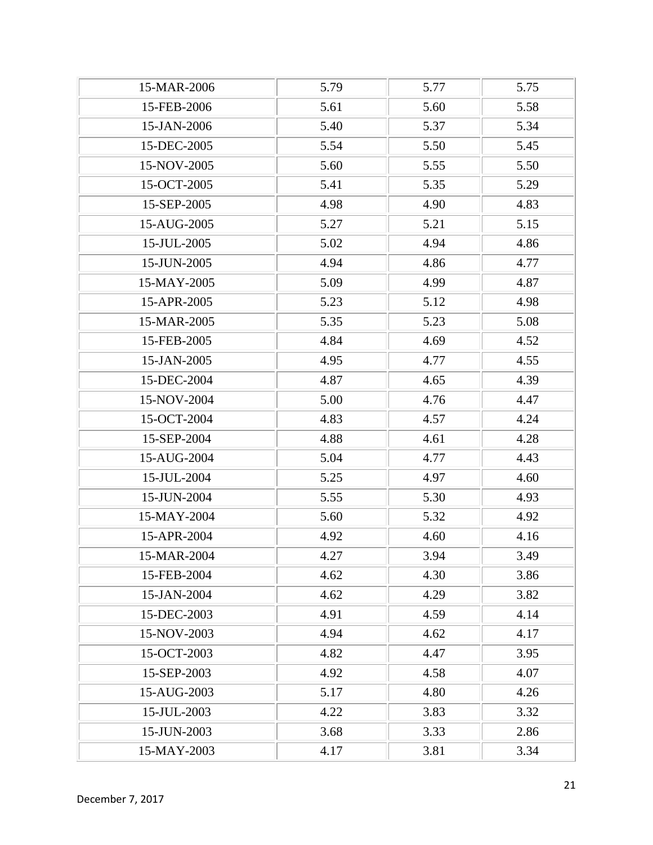| 15-MAR-2006 | 5.79 | 5.77 | 5.75 |
|-------------|------|------|------|
| 15-FEB-2006 | 5.61 | 5.60 | 5.58 |
| 15-JAN-2006 | 5.40 | 5.37 | 5.34 |
| 15-DEC-2005 | 5.54 | 5.50 | 5.45 |
| 15-NOV-2005 | 5.60 | 5.55 | 5.50 |
| 15-OCT-2005 | 5.41 | 5.35 | 5.29 |
| 15-SEP-2005 | 4.98 | 4.90 | 4.83 |
| 15-AUG-2005 | 5.27 | 5.21 | 5.15 |
| 15-JUL-2005 | 5.02 | 4.94 | 4.86 |
| 15-JUN-2005 | 4.94 | 4.86 | 4.77 |
| 15-MAY-2005 | 5.09 | 4.99 | 4.87 |
| 15-APR-2005 | 5.23 | 5.12 | 4.98 |
| 15-MAR-2005 | 5.35 | 5.23 | 5.08 |
| 15-FEB-2005 | 4.84 | 4.69 | 4.52 |
| 15-JAN-2005 | 4.95 | 4.77 | 4.55 |
| 15-DEC-2004 | 4.87 | 4.65 | 4.39 |
| 15-NOV-2004 | 5.00 | 4.76 | 4.47 |
| 15-OCT-2004 | 4.83 | 4.57 | 4.24 |
| 15-SEP-2004 | 4.88 | 4.61 | 4.28 |
| 15-AUG-2004 | 5.04 | 4.77 | 4.43 |
| 15-JUL-2004 | 5.25 | 4.97 | 4.60 |
| 15-JUN-2004 | 5.55 | 5.30 | 4.93 |
| 15-MAY-2004 | 5.60 | 5.32 | 4.92 |
| 15-APR-2004 | 4.92 | 4.60 | 4.16 |
| 15-MAR-2004 | 4.27 | 3.94 | 3.49 |
| 15-FEB-2004 | 4.62 | 4.30 | 3.86 |
| 15-JAN-2004 | 4.62 | 4.29 | 3.82 |
| 15-DEC-2003 | 4.91 | 4.59 | 4.14 |
| 15-NOV-2003 | 4.94 | 4.62 | 4.17 |
| 15-OCT-2003 | 4.82 | 4.47 | 3.95 |
| 15-SEP-2003 | 4.92 | 4.58 | 4.07 |
| 15-AUG-2003 | 5.17 | 4.80 | 4.26 |
| 15-JUL-2003 | 4.22 | 3.83 | 3.32 |
| 15-JUN-2003 | 3.68 | 3.33 | 2.86 |
| 15-MAY-2003 | 4.17 | 3.81 | 3.34 |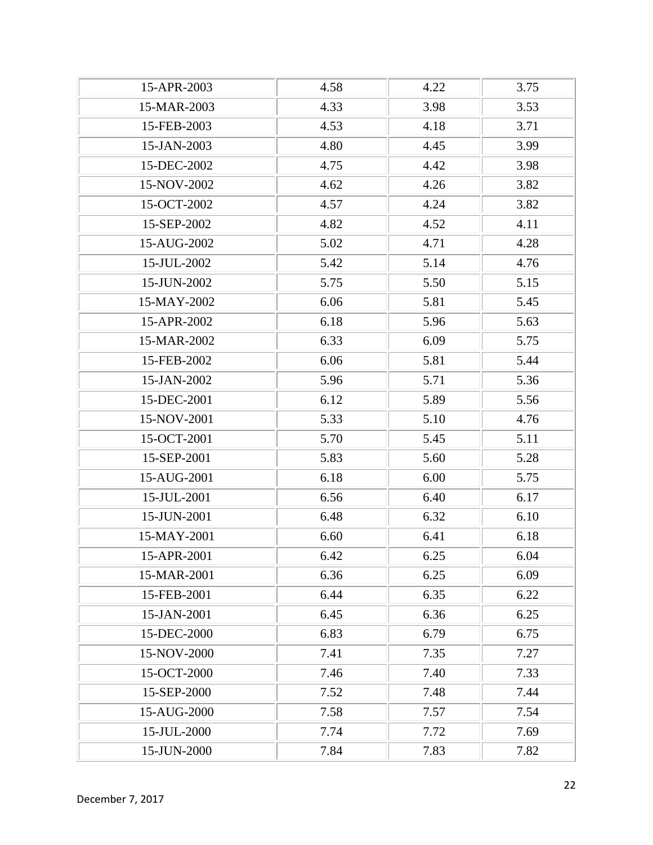| 15-APR-2003 | 4.58 | 4.22 | 3.75 |
|-------------|------|------|------|
| 15-MAR-2003 | 4.33 | 3.98 | 3.53 |
| 15-FEB-2003 | 4.53 | 4.18 | 3.71 |
| 15-JAN-2003 | 4.80 | 4.45 | 3.99 |
| 15-DEC-2002 | 4.75 | 4.42 | 3.98 |
| 15-NOV-2002 | 4.62 | 4.26 | 3.82 |
| 15-OCT-2002 | 4.57 | 4.24 | 3.82 |
| 15-SEP-2002 | 4.82 | 4.52 | 4.11 |
| 15-AUG-2002 | 5.02 | 4.71 | 4.28 |
| 15-JUL-2002 | 5.42 | 5.14 | 4.76 |
| 15-JUN-2002 | 5.75 | 5.50 | 5.15 |
| 15-MAY-2002 | 6.06 | 5.81 | 5.45 |
| 15-APR-2002 | 6.18 | 5.96 | 5.63 |
| 15-MAR-2002 | 6.33 | 6.09 | 5.75 |
| 15-FEB-2002 | 6.06 | 5.81 | 5.44 |
| 15-JAN-2002 | 5.96 | 5.71 | 5.36 |
| 15-DEC-2001 | 6.12 | 5.89 | 5.56 |
| 15-NOV-2001 | 5.33 | 5.10 | 4.76 |
| 15-OCT-2001 | 5.70 | 5.45 | 5.11 |
| 15-SEP-2001 | 5.83 | 5.60 | 5.28 |
| 15-AUG-2001 | 6.18 | 6.00 | 5.75 |
| 15-JUL-2001 | 6.56 | 6.40 | 6.17 |
| 15-JUN-2001 | 6.48 | 6.32 | 6.10 |
| 15-MAY-2001 | 6.60 | 6.41 | 6.18 |
| 15-APR-2001 | 6.42 | 6.25 | 6.04 |
| 15-MAR-2001 | 6.36 | 6.25 | 6.09 |
| 15-FEB-2001 | 6.44 | 6.35 | 6.22 |
| 15-JAN-2001 | 6.45 | 6.36 | 6.25 |
| 15-DEC-2000 | 6.83 | 6.79 | 6.75 |
| 15-NOV-2000 | 7.41 | 7.35 | 7.27 |
| 15-OCT-2000 | 7.46 | 7.40 | 7.33 |
| 15-SEP-2000 | 7.52 | 7.48 | 7.44 |
| 15-AUG-2000 | 7.58 | 7.57 | 7.54 |
| 15-JUL-2000 | 7.74 | 7.72 | 7.69 |
| 15-JUN-2000 | 7.84 | 7.83 | 7.82 |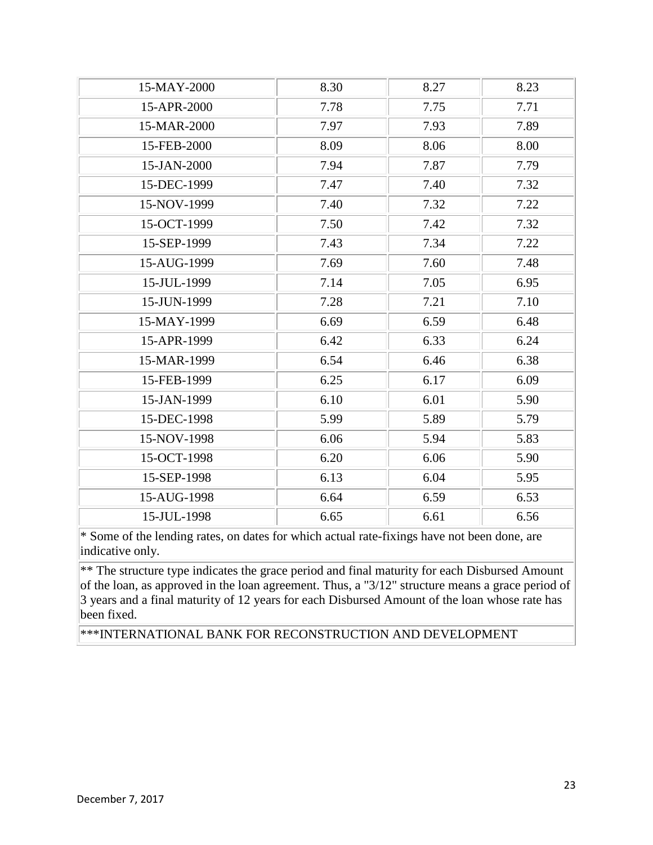| 8.30 | 8.27 | 8.23 |
|------|------|------|
| 7.78 | 7.75 | 7.71 |
| 7.97 | 7.93 | 7.89 |
| 8.09 | 8.06 | 8.00 |
| 7.94 | 7.87 | 7.79 |
| 7.47 | 7.40 | 7.32 |
| 7.40 | 7.32 | 7.22 |
| 7.50 | 7.42 | 7.32 |
| 7.43 | 7.34 | 7.22 |
| 7.69 | 7.60 | 7.48 |
| 7.14 | 7.05 | 6.95 |
| 7.28 | 7.21 | 7.10 |
| 6.69 | 6.59 | 6.48 |
| 6.42 | 6.33 | 6.24 |
| 6.54 | 6.46 | 6.38 |
| 6.25 | 6.17 | 6.09 |
| 6.10 | 6.01 | 5.90 |
| 5.99 | 5.89 | 5.79 |
| 6.06 | 5.94 | 5.83 |
| 6.20 | 6.06 | 5.90 |
| 6.13 | 6.04 | 5.95 |
| 6.64 | 6.59 | 6.53 |
| 6.65 | 6.61 | 6.56 |
|      |      |      |

\*\* The structure type indicates the grace period and final maturity for each Disbursed Amount of the loan, as approved in the loan agreement. Thus, a "3/12" structure means a grace period of 3 years and a final maturity of 12 years for each Disbursed Amount of the loan whose rate has been fixed.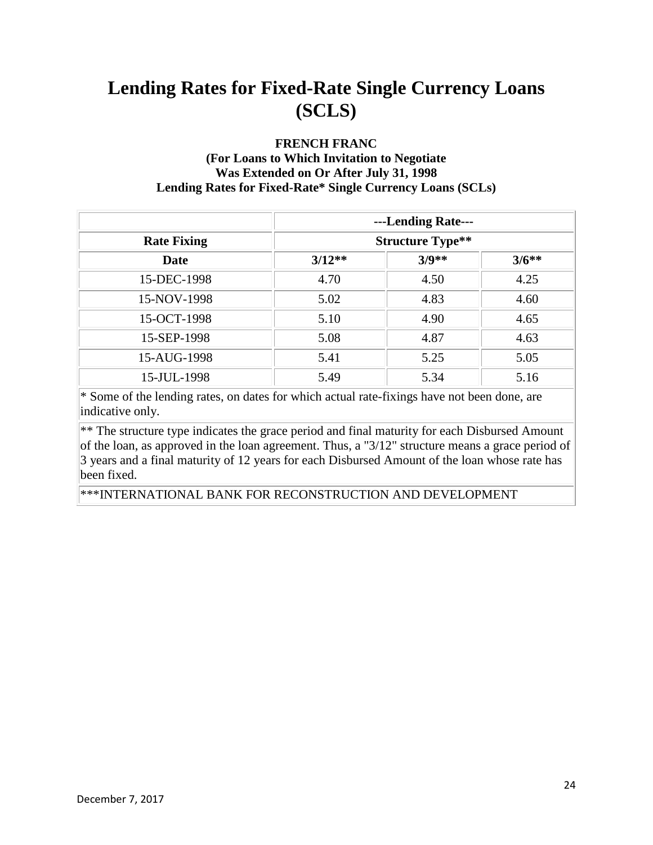#### **FRENCH FRANC**

#### **(For Loans to Which Invitation to Negotiate Was Extended on Or After July 31, 1998 Lending Rates for Fixed-Rate\* Single Currency Loans (SCLs)**

|                    | ---Lending Rate---      |         |         |
|--------------------|-------------------------|---------|---------|
| <b>Rate Fixing</b> | <b>Structure Type**</b> |         |         |
| <b>Date</b>        | $3/12**$                | $3/9**$ | $3/6**$ |
| 15-DEC-1998        | 4.70                    | 4.50    | 4.25    |
| 15-NOV-1998        | 5.02                    | 4.83    | 4.60    |
| 15-OCT-1998        | 5.10                    | 4.90    | 4.65    |
| 15-SEP-1998        | 5.08                    | 4.87    | 4.63    |
| 15-AUG-1998        | 5.41                    | 5.25    | 5.05    |
| 15-JUL-1998        | 5.49                    | 5.34    | 5.16    |

\* Some of the lending rates, on dates for which actual rate-fixings have not been done, are indicative only.

\*\* The structure type indicates the grace period and final maturity for each Disbursed Amount of the loan, as approved in the loan agreement. Thus, a "3/12" structure means a grace period of 3 years and a final maturity of 12 years for each Disbursed Amount of the loan whose rate has been fixed.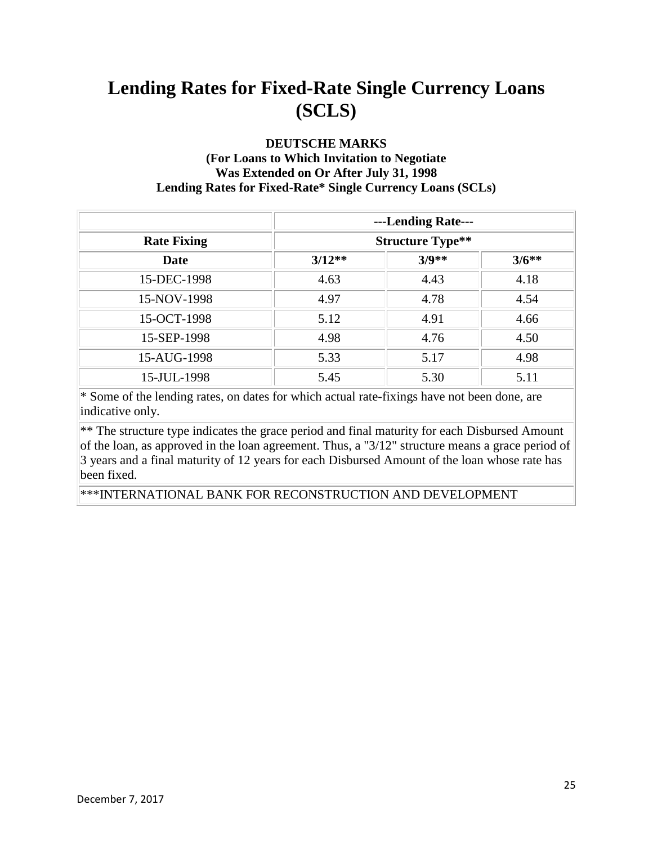#### **DEUTSCHE MARKS**

#### **(For Loans to Which Invitation to Negotiate Was Extended on Or After July 31, 1998 Lending Rates for Fixed-Rate\* Single Currency Loans (SCLs)**

|                    | ---Lending Rate---      |         |         |
|--------------------|-------------------------|---------|---------|
| <b>Rate Fixing</b> | <b>Structure Type**</b> |         |         |
| <b>Date</b>        | $3/12**$                | $3/9**$ | $3/6**$ |
| 15-DEC-1998        | 4.63                    | 4.43    | 4.18    |
| 15-NOV-1998        | 4.97                    | 4.78    | 4.54    |
| 15-OCT-1998        | 5.12                    | 4.91    | 4.66    |
| 15-SEP-1998        | 4.98                    | 4.76    | 4.50    |
| 15-AUG-1998        | 5.33                    | 5.17    | 4.98    |
| 15-JUL-1998        | 5.45                    | 5.30    | 5.11    |

\* Some of the lending rates, on dates for which actual rate-fixings have not been done, are indicative only.

\*\* The structure type indicates the grace period and final maturity for each Disbursed Amount of the loan, as approved in the loan agreement. Thus, a "3/12" structure means a grace period of 3 years and a final maturity of 12 years for each Disbursed Amount of the loan whose rate has been fixed.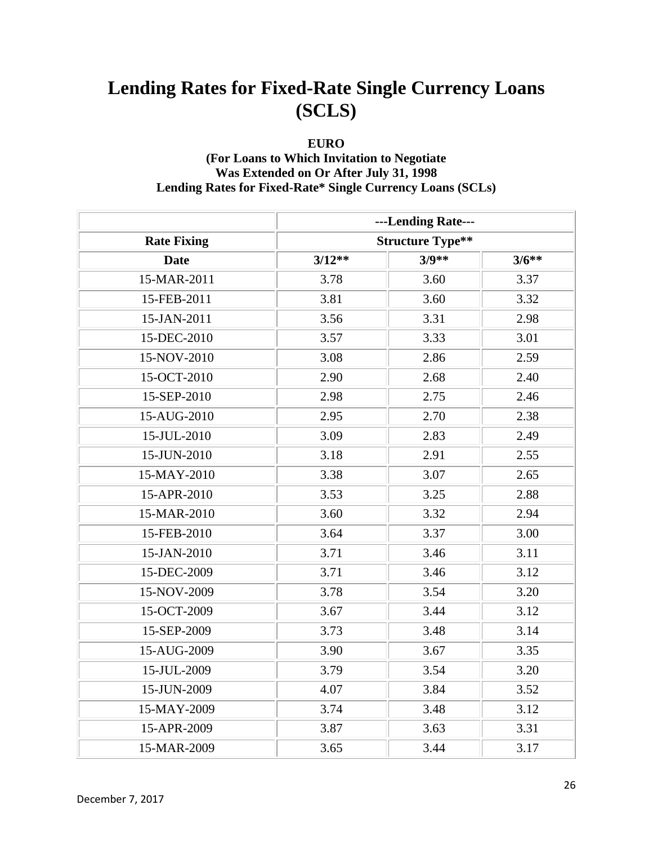#### **EURO**

#### **(For Loans to Which Invitation to Negotiate Was Extended on Or After July 31, 1998 Lending Rates for Fixed-Rate\* Single Currency Loans (SCLs)**

|                    |                         | ---Lending Rate--- |         |
|--------------------|-------------------------|--------------------|---------|
| <b>Rate Fixing</b> | <b>Structure Type**</b> |                    |         |
| <b>Date</b>        | $3/12**$                | $3/9**$            | $3/6**$ |
| 15-MAR-2011        | 3.78                    | 3.60               | 3.37    |
| 15-FEB-2011        | 3.81                    | 3.60               | 3.32    |
| 15-JAN-2011        | 3.56                    | 3.31               | 2.98    |
| 15-DEC-2010        | 3.57                    | 3.33               | 3.01    |
| 15-NOV-2010        | 3.08                    | 2.86               | 2.59    |
| 15-OCT-2010        | 2.90                    | 2.68               | 2.40    |
| 15-SEP-2010        | 2.98                    | 2.75               | 2.46    |
| 15-AUG-2010        | 2.95                    | 2.70               | 2.38    |
| 15-JUL-2010        | 3.09                    | 2.83               | 2.49    |
| 15-JUN-2010        | 3.18                    | 2.91               | 2.55    |
| 15-MAY-2010        | 3.38                    | 3.07               | 2.65    |
| 15-APR-2010        | 3.53                    | 3.25               | 2.88    |
| 15-MAR-2010        | 3.60                    | 3.32               | 2.94    |
| 15-FEB-2010        | 3.64                    | 3.37               | 3.00    |
| 15-JAN-2010        | 3.71                    | 3.46               | 3.11    |
| 15-DEC-2009        | 3.71                    | 3.46               | 3.12    |
| 15-NOV-2009        | 3.78                    | 3.54               | 3.20    |
| 15-OCT-2009        | 3.67                    | 3.44               | 3.12    |
| 15-SEP-2009        | 3.73                    | 3.48               | 3.14    |
| 15-AUG-2009        | 3.90                    | 3.67               | 3.35    |
| 15-JUL-2009        | 3.79                    | 3.54               | 3.20    |
| 15-JUN-2009        | 4.07                    | 3.84               | 3.52    |
| 15-MAY-2009        | 3.74                    | 3.48               | 3.12    |
| 15-APR-2009        | 3.87                    | 3.63               | 3.31    |
| 15-MAR-2009        | 3.65                    | 3.44               | 3.17    |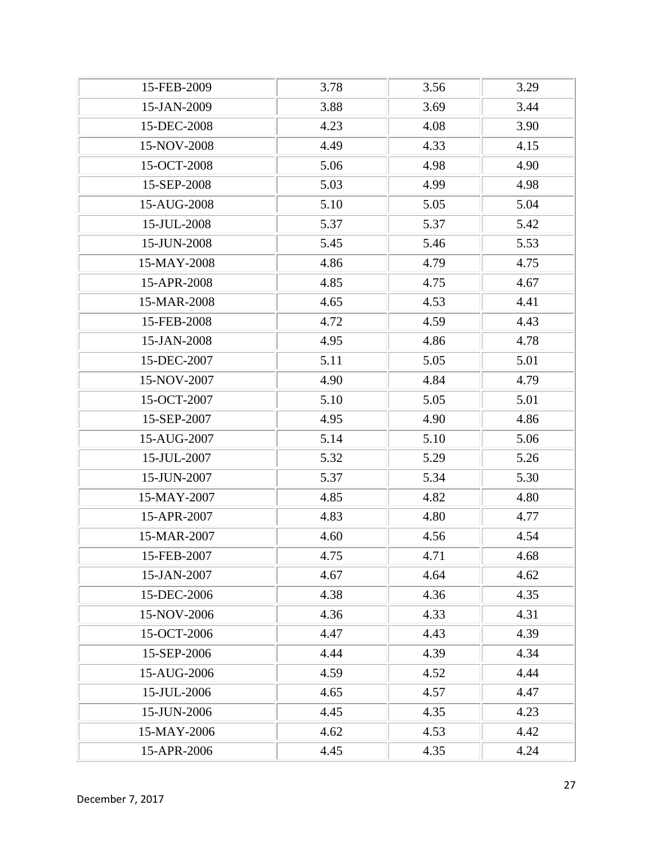| 15-FEB-2009 | 3.78 | 3.56 | 3.29 |
|-------------|------|------|------|
| 15-JAN-2009 | 3.88 | 3.69 | 3.44 |
| 15-DEC-2008 | 4.23 | 4.08 | 3.90 |
| 15-NOV-2008 | 4.49 | 4.33 | 4.15 |
| 15-OCT-2008 | 5.06 | 4.98 | 4.90 |
| 15-SEP-2008 | 5.03 | 4.99 | 4.98 |
| 15-AUG-2008 | 5.10 | 5.05 | 5.04 |
| 15-JUL-2008 | 5.37 | 5.37 | 5.42 |
| 15-JUN-2008 | 5.45 | 5.46 | 5.53 |
| 15-MAY-2008 | 4.86 | 4.79 | 4.75 |
| 15-APR-2008 | 4.85 | 4.75 | 4.67 |
| 15-MAR-2008 | 4.65 | 4.53 | 4.41 |
| 15-FEB-2008 | 4.72 | 4.59 | 4.43 |
| 15-JAN-2008 | 4.95 | 4.86 | 4.78 |
| 15-DEC-2007 | 5.11 | 5.05 | 5.01 |
| 15-NOV-2007 | 4.90 | 4.84 | 4.79 |
| 15-OCT-2007 | 5.10 | 5.05 | 5.01 |
| 15-SEP-2007 | 4.95 | 4.90 | 4.86 |
| 15-AUG-2007 | 5.14 | 5.10 | 5.06 |
| 15-JUL-2007 | 5.32 | 5.29 | 5.26 |
| 15-JUN-2007 | 5.37 | 5.34 | 5.30 |
| 15-MAY-2007 | 4.85 | 4.82 | 4.80 |
| 15-APR-2007 | 4.83 | 4.80 | 4.77 |
| 15-MAR-2007 | 4.60 | 4.56 | 4.54 |
| 15-FEB-2007 | 4.75 | 4.71 | 4.68 |
| 15-JAN-2007 | 4.67 | 4.64 | 4.62 |
| 15-DEC-2006 | 4.38 | 4.36 | 4.35 |
| 15-NOV-2006 | 4.36 | 4.33 | 4.31 |
| 15-OCT-2006 | 4.47 | 4.43 | 4.39 |
| 15-SEP-2006 | 4.44 | 4.39 | 4.34 |
| 15-AUG-2006 | 4.59 | 4.52 | 4.44 |
| 15-JUL-2006 | 4.65 | 4.57 | 4.47 |
| 15-JUN-2006 | 4.45 | 4.35 | 4.23 |
| 15-MAY-2006 | 4.62 | 4.53 | 4.42 |
| 15-APR-2006 | 4.45 | 4.35 | 4.24 |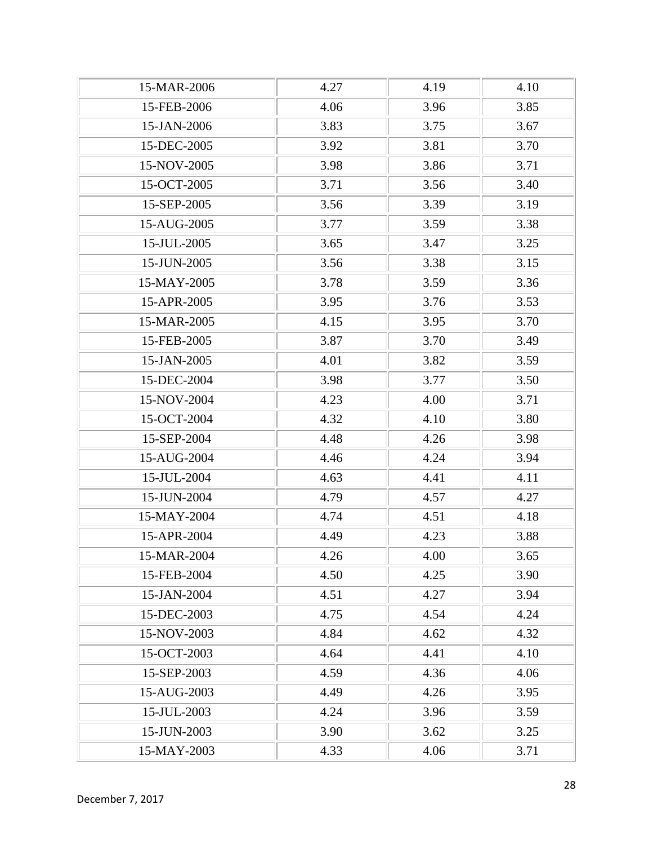| 15-MAR-2006 | 4.27 | 4.19 | 4.10 |
|-------------|------|------|------|
| 15-FEB-2006 | 4.06 | 3.96 | 3.85 |
| 15-JAN-2006 | 3.83 | 3.75 | 3.67 |
| 15-DEC-2005 | 3.92 | 3.81 | 3.70 |
| 15-NOV-2005 | 3.98 | 3.86 | 3.71 |
| 15-OCT-2005 | 3.71 | 3.56 | 3.40 |
| 15-SEP-2005 | 3.56 | 3.39 | 3.19 |
| 15-AUG-2005 | 3.77 | 3.59 | 3.38 |
| 15-JUL-2005 | 3.65 | 3.47 | 3.25 |
| 15-JUN-2005 | 3.56 | 3.38 | 3.15 |
| 15-MAY-2005 | 3.78 | 3.59 | 3.36 |
| 15-APR-2005 | 3.95 | 3.76 | 3.53 |
| 15-MAR-2005 | 4.15 | 3.95 | 3.70 |
| 15-FEB-2005 | 3.87 | 3.70 | 3.49 |
| 15-JAN-2005 | 4.01 | 3.82 | 3.59 |
| 15-DEC-2004 | 3.98 | 3.77 | 3.50 |
| 15-NOV-2004 | 4.23 | 4.00 | 3.71 |
| 15-OCT-2004 | 4.32 | 4.10 | 3.80 |
| 15-SEP-2004 | 4.48 | 4.26 | 3.98 |
| 15-AUG-2004 | 4.46 | 4.24 | 3.94 |
| 15-JUL-2004 | 4.63 | 4.41 | 4.11 |
| 15-JUN-2004 | 4.79 | 4.57 | 4.27 |
| 15-MAY-2004 | 4.74 | 4.51 | 4.18 |
| 15-APR-2004 | 4.49 | 4.23 | 3.88 |
| 15-MAR-2004 | 4.26 | 4.00 | 3.65 |
| 15-FEB-2004 | 4.50 | 4.25 | 3.90 |
| 15-JAN-2004 | 4.51 | 4.27 | 3.94 |
| 15-DEC-2003 | 4.75 | 4.54 | 4.24 |
| 15-NOV-2003 | 4.84 | 4.62 | 4.32 |
| 15-OCT-2003 | 4.64 | 4.41 | 4.10 |
| 15-SEP-2003 | 4.59 | 4.36 | 4.06 |
| 15-AUG-2003 | 4.49 | 4.26 | 3.95 |
| 15-JUL-2003 | 4.24 | 3.96 | 3.59 |
| 15-JUN-2003 | 3.90 | 3.62 | 3.25 |
| 15-MAY-2003 | 4.33 | 4.06 | 3.71 |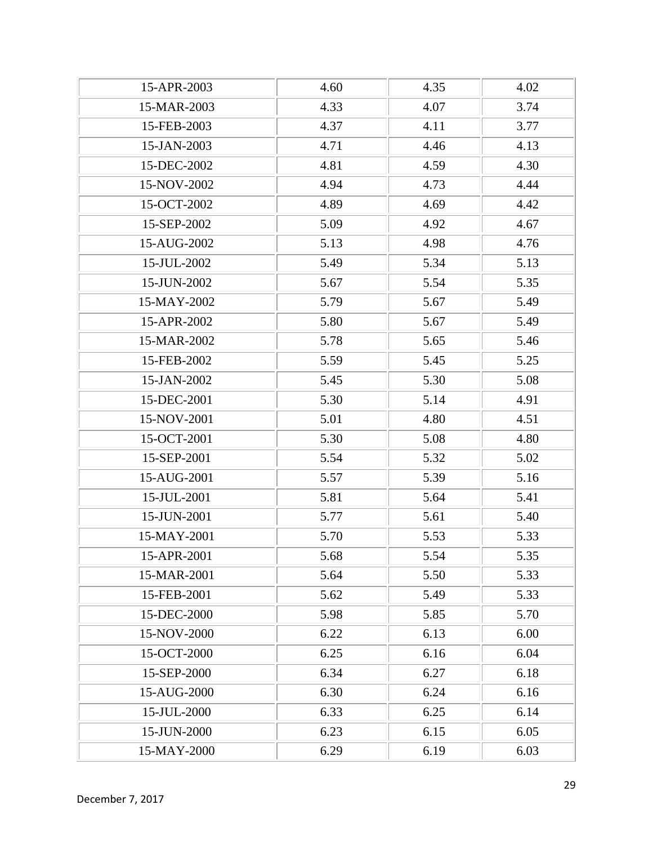| 15-APR-2003 | 4.60 | 4.35 | 4.02 |
|-------------|------|------|------|
| 15-MAR-2003 | 4.33 | 4.07 | 3.74 |
| 15-FEB-2003 | 4.37 | 4.11 | 3.77 |
| 15-JAN-2003 | 4.71 | 4.46 | 4.13 |
| 15-DEC-2002 | 4.81 | 4.59 | 4.30 |
| 15-NOV-2002 | 4.94 | 4.73 | 4.44 |
| 15-OCT-2002 | 4.89 | 4.69 | 4.42 |
| 15-SEP-2002 | 5.09 | 4.92 | 4.67 |
| 15-AUG-2002 | 5.13 | 4.98 | 4.76 |
| 15-JUL-2002 | 5.49 | 5.34 | 5.13 |
| 15-JUN-2002 | 5.67 | 5.54 | 5.35 |
| 15-MAY-2002 | 5.79 | 5.67 | 5.49 |
| 15-APR-2002 | 5.80 | 5.67 | 5.49 |
| 15-MAR-2002 | 5.78 | 5.65 | 5.46 |
| 15-FEB-2002 | 5.59 | 5.45 | 5.25 |
| 15-JAN-2002 | 5.45 | 5.30 | 5.08 |
| 15-DEC-2001 | 5.30 | 5.14 | 4.91 |
| 15-NOV-2001 | 5.01 | 4.80 | 4.51 |
| 15-OCT-2001 | 5.30 | 5.08 | 4.80 |
| 15-SEP-2001 | 5.54 | 5.32 | 5.02 |
| 15-AUG-2001 | 5.57 | 5.39 | 5.16 |
| 15-JUL-2001 | 5.81 | 5.64 | 5.41 |
| 15-JUN-2001 | 5.77 | 5.61 | 5.40 |
| 15-MAY-2001 | 5.70 | 5.53 | 5.33 |
| 15-APR-2001 | 5.68 | 5.54 | 5.35 |
| 15-MAR-2001 | 5.64 | 5.50 | 5.33 |
| 15-FEB-2001 | 5.62 | 5.49 | 5.33 |
| 15-DEC-2000 | 5.98 | 5.85 | 5.70 |
| 15-NOV-2000 | 6.22 | 6.13 | 6.00 |
| 15-OCT-2000 | 6.25 | 6.16 | 6.04 |
| 15-SEP-2000 | 6.34 | 6.27 | 6.18 |
| 15-AUG-2000 | 6.30 | 6.24 | 6.16 |
| 15-JUL-2000 | 6.33 | 6.25 | 6.14 |
| 15-JUN-2000 | 6.23 | 6.15 | 6.05 |
| 15-MAY-2000 | 6.29 | 6.19 | 6.03 |